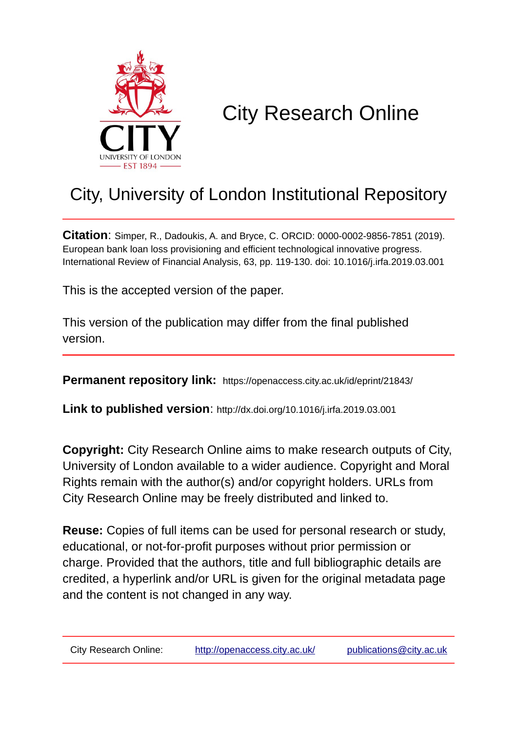

# City Research Online

## City, University of London Institutional Repository

**Citation**: Simper, R., Dadoukis, A. and Bryce, C. ORCID: 0000-0002-9856-7851 (2019). European bank loan loss provisioning and efficient technological innovative progress. International Review of Financial Analysis, 63, pp. 119-130. doi: 10.1016/j.irfa.2019.03.001

This is the accepted version of the paper.

This version of the publication may differ from the final published version.

**Permanent repository link:** https://openaccess.city.ac.uk/id/eprint/21843/

**Link to published version**: http://dx.doi.org/10.1016/j.irfa.2019.03.001

**Copyright:** City Research Online aims to make research outputs of City, University of London available to a wider audience. Copyright and Moral Rights remain with the author(s) and/or copyright holders. URLs from City Research Online may be freely distributed and linked to.

**Reuse:** Copies of full items can be used for personal research or study, educational, or not-for-profit purposes without prior permission or charge. Provided that the authors, title and full bibliographic details are credited, a hyperlink and/or URL is given for the original metadata page and the content is not changed in any way.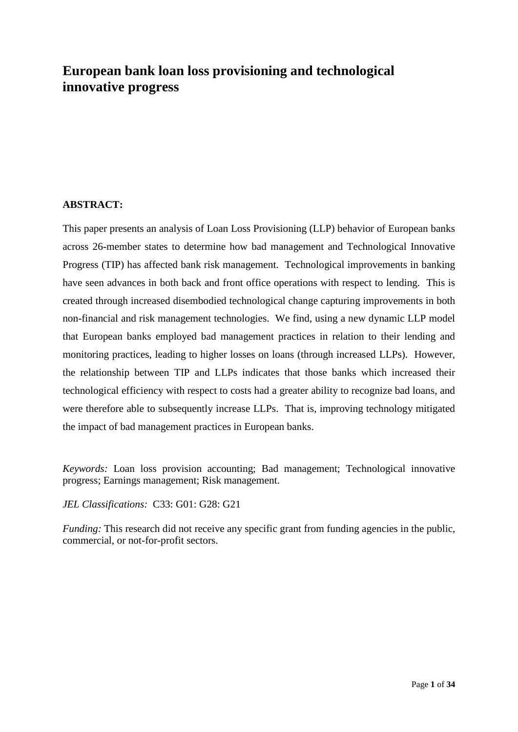### **European bank loan loss provisioning and technological innovative progress**

#### **ABSTRACT:**

This paper presents an analysis of Loan Loss Provisioning (LLP) behavior of European banks across 26-member states to determine how bad management and Technological Innovative Progress (TIP) has affected bank risk management. Technological improvements in banking have seen advances in both back and front office operations with respect to lending. This is created through increased disembodied technological change capturing improvements in both non-financial and risk management technologies. We find, using a new dynamic LLP model that European banks employed bad management practices in relation to their lending and monitoring practices, leading to higher losses on loans (through increased LLPs). However, the relationship between TIP and LLPs indicates that those banks which increased their technological efficiency with respect to costs had a greater ability to recognize bad loans, and were therefore able to subsequently increase LLPs. That is, improving technology mitigated the impact of bad management practices in European banks.

*Keywords:* Loan loss provision accounting; Bad management; Technological innovative progress; Earnings management; Risk management.

*JEL Classifications:* C33: G01: G28: G21

*Funding:* This research did not receive any specific grant from funding agencies in the public, commercial, or not-for-profit sectors.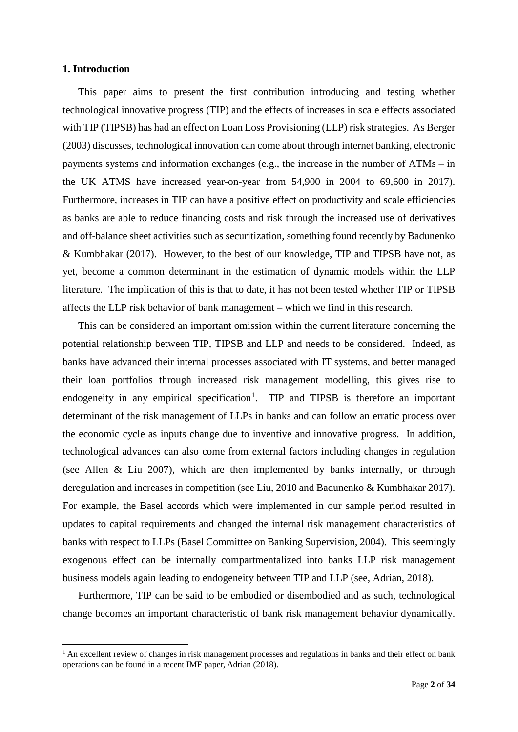#### **1. Introduction**

This paper aims to present the first contribution introducing and testing whether technological innovative progress (TIP) and the effects of increases in scale effects associated with TIP (TIPSB) has had an effect on Loan Loss Provisioning (LLP) risk strategies. As Berger (2003) discusses, technological innovation can come about through internet banking, electronic payments systems and information exchanges (e.g., the increase in the number of ATMs – in the UK ATMS have increased year-on-year from 54,900 in 2004 to 69,600 in 2017). Furthermore, increases in TIP can have a positive effect on productivity and scale efficiencies as banks are able to reduce financing costs and risk through the increased use of derivatives and off-balance sheet activities such as securitization, something found recently by Badunenko & Kumbhakar (2017). However, to the best of our knowledge, TIP and TIPSB have not, as yet, become a common determinant in the estimation of dynamic models within the LLP literature. The implication of this is that to date, it has not been tested whether TIP or TIPSB affects the LLP risk behavior of bank management – which we find in this research.

This can be considered an important omission within the current literature concerning the potential relationship between TIP, TIPSB and LLP and needs to be considered. Indeed, as banks have advanced their internal processes associated with IT systems, and better managed their loan portfolios through increased risk management modelling, this gives rise to endogeneity in any empirical specification<sup>[1](#page-2-0)</sup>. TIP and TIPSB is therefore an important determinant of the risk management of LLPs in banks and can follow an erratic process over the economic cycle as inputs change due to inventive and innovative progress. In addition, technological advances can also come from external factors including changes in regulation (see Allen & Liu 2007), which are then implemented by banks internally, or through deregulation and increases in competition (see Liu, 2010 and Badunenko & Kumbhakar 2017). For example, the Basel accords which were implemented in our sample period resulted in updates to capital requirements and changed the internal risk management characteristics of banks with respect to LLPs (Basel Committee on Banking Supervision, 2004). This seemingly exogenous effect can be internally compartmentalized into banks LLP risk management business models again leading to endogeneity between TIP and LLP (see, Adrian, 2018).

Furthermore, TIP can be said to be embodied or disembodied and as such, technological change becomes an important characteristic of bank risk management behavior dynamically.

<span id="page-2-0"></span> $<sup>1</sup>$  An excellent review of changes in risk management processes and regulations in banks and their effect on bank</sup> operations can be found in a recent IMF paper, Adrian (2018).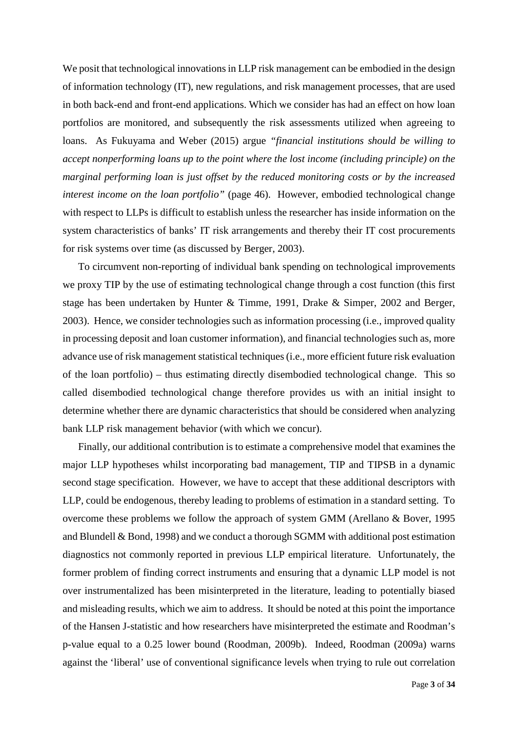We posit that technological innovations in LLP risk management can be embodied in the design of information technology (IT), new regulations, and risk management processes, that are used in both back-end and front-end applications. Which we consider has had an effect on how loan portfolios are monitored, and subsequently the risk assessments utilized when agreeing to loans. As Fukuyama and Weber (2015) argue *"financial institutions should be willing to accept nonperforming loans up to the point where the lost income (including principle) on the marginal performing loan is just offset by the reduced monitoring costs or by the increased interest income on the loan portfolio"* (page 46). However, embodied technological change with respect to LLPs is difficult to establish unless the researcher has inside information on the system characteristics of banks' IT risk arrangements and thereby their IT cost procurements for risk systems over time (as discussed by Berger, 2003).

To circumvent non-reporting of individual bank spending on technological improvements we proxy TIP by the use of estimating technological change through a cost function (this first stage has been undertaken by Hunter & Timme, 1991, Drake & Simper, 2002 and Berger, 2003). Hence, we consider technologies such as information processing (i.e., improved quality in processing deposit and loan customer information), and financial technologies such as, more advance use of risk management statistical techniques (i.e., more efficient future risk evaluation of the loan portfolio) – thus estimating directly disembodied technological change. This so called disembodied technological change therefore provides us with an initial insight to determine whether there are dynamic characteristics that should be considered when analyzing bank LLP risk management behavior (with which we concur).

Finally, our additional contribution is to estimate a comprehensive model that examines the major LLP hypotheses whilst incorporating bad management, TIP and TIPSB in a dynamic second stage specification. However, we have to accept that these additional descriptors with LLP, could be endogenous, thereby leading to problems of estimation in a standard setting. To overcome these problems we follow the approach of system GMM (Arellano & Bover, 1995 and Blundell & Bond, 1998) and we conduct a thorough SGMM with additional post estimation diagnostics not commonly reported in previous LLP empirical literature. Unfortunately, the former problem of finding correct instruments and ensuring that a dynamic LLP model is not over instrumentalized has been misinterpreted in the literature, leading to potentially biased and misleading results, which we aim to address. It should be noted at this point the importance of the Hansen J-statistic and how researchers have misinterpreted the estimate and Roodman's p-value equal to a 0.25 lower bound (Roodman, 2009b). Indeed, Roodman (2009a) warns against the 'liberal' use of conventional significance levels when trying to rule out correlation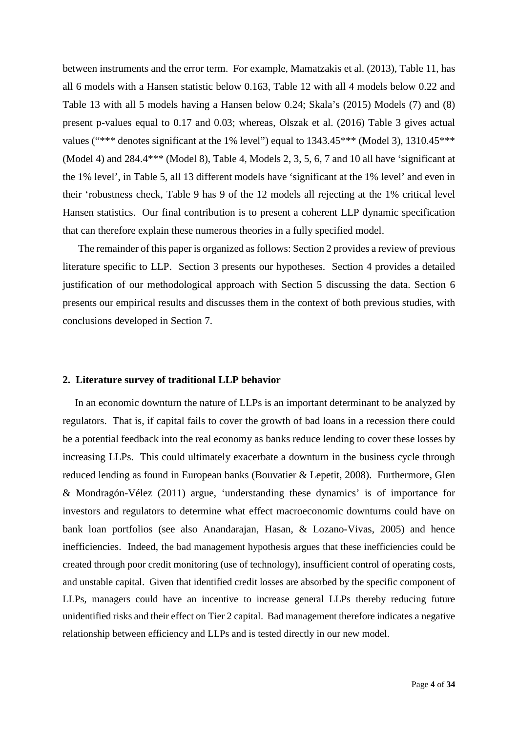between instruments and the error term. For example, Mamatzakis et al. (2013), Table 11, has all 6 models with a Hansen statistic below 0.163, Table 12 with all 4 models below 0.22 and Table 13 with all 5 models having a Hansen below 0.24; Skala's (2015) Models (7) and (8) present p-values equal to 0.17 and 0.03; whereas, Olszak et al. (2016) Table 3 gives actual values ("\*\*\* denotes significant at the 1% level") equal to 1343.45\*\*\* (Model 3), 1310.45\*\*\* (Model 4) and 284.4\*\*\* (Model 8), Table 4, Models 2, 3, 5, 6, 7 and 10 all have 'significant at the 1% level', in Table 5, all 13 different models have 'significant at the 1% level' and even in their 'robustness check, Table 9 has 9 of the 12 models all rejecting at the 1% critical level Hansen statistics. Our final contribution is to present a coherent LLP dynamic specification that can therefore explain these numerous theories in a fully specified model.

The remainder of this paper is organized as follows: Section 2 provides a review of previous literature specific to LLP. Section 3 presents our hypotheses. Section 4 provides a detailed justification of our methodological approach with Section 5 discussing the data. Section 6 presents our empirical results and discusses them in the context of both previous studies, with conclusions developed in Section 7.

#### **2. Literature survey of traditional LLP behavior**

In an economic downturn the nature of LLPs is an important determinant to be analyzed by regulators. That is, if capital fails to cover the growth of bad loans in a recession there could be a potential feedback into the real economy as banks reduce lending to cover these losses by increasing LLPs. This could ultimately exacerbate a downturn in the business cycle through reduced lending as found in European banks (Bouvatier & Lepetit, 2008). Furthermore, Glen & Mondragón-Vélez (2011) argue, 'understanding these dynamics' is of importance for investors and regulators to determine what effect macroeconomic downturns could have on bank loan portfolios (see also Anandarajan, Hasan, & Lozano-Vivas, 2005) and hence inefficiencies. Indeed, the bad management hypothesis argues that these inefficiencies could be created through poor credit monitoring (use of technology), insufficient control of operating costs, and unstable capital. Given that identified credit losses are absorbed by the specific component of LLPs, managers could have an incentive to increase general LLPs thereby reducing future unidentified risks and their effect on Tier 2 capital. Bad management therefore indicates a negative relationship between efficiency and LLPs and is tested directly in our new model.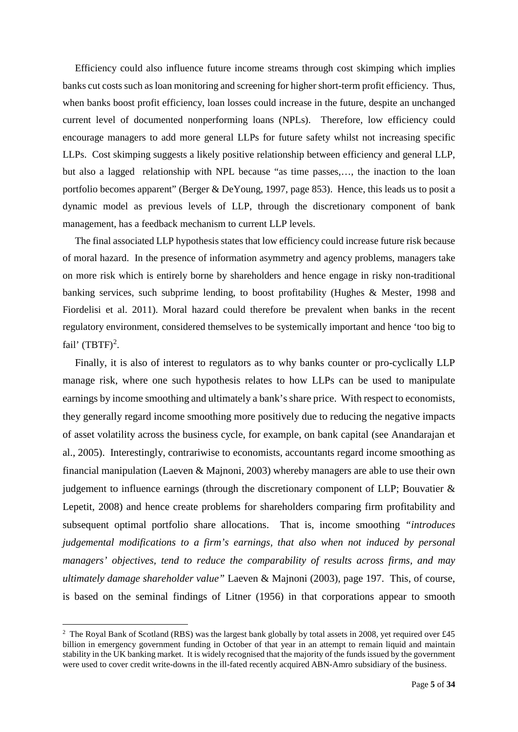Efficiency could also influence future income streams through cost skimping which implies banks cut costs such as loan monitoring and screening for higher short-term profit efficiency. Thus, when banks boost profit efficiency, loan losses could increase in the future, despite an unchanged current level of documented nonperforming loans (NPLs). Therefore, low efficiency could encourage managers to add more general LLPs for future safety whilst not increasing specific LLPs. Cost skimping suggests a likely positive relationship between efficiency and general LLP, but also a lagged relationship with NPL because "as time passes,…, the inaction to the loan portfolio becomes apparent" (Berger & DeYoung, 1997, page 853). Hence, this leads us to posit a dynamic model as previous levels of LLP, through the discretionary component of bank management, has a feedback mechanism to current LLP levels.

The final associated LLP hypothesis states that low efficiency could increase future risk because of moral hazard. In the presence of information asymmetry and agency problems, managers take on more risk which is entirely borne by shareholders and hence engage in risky non-traditional banking services, such subprime lending, to boost profitability (Hughes & Mester, 1998 and Fiordelisi et al. 2011). Moral hazard could therefore be prevalent when banks in the recent regulatory environment, considered themselves to be systemically important and hence 'too big to fail'  $(TBTF)^2$  $(TBTF)^2$ .

Finally, it is also of interest to regulators as to why banks counter or pro-cyclically LLP manage risk, where one such hypothesis relates to how LLPs can be used to manipulate earnings by income smoothing and ultimately a bank'sshare price. With respect to economists, they generally regard income smoothing more positively due to reducing the negative impacts of asset volatility across the business cycle, for example, on bank capital (see Anandarajan et al., 2005). Interestingly, contrariwise to economists, accountants regard income smoothing as financial manipulation (Laeven & Majnoni, 2003) whereby managers are able to use their own judgement to influence earnings (through the discretionary component of LLP; Bouvatier & Lepetit, 2008) and hence create problems for shareholders comparing firm profitability and subsequent optimal portfolio share allocations. That is, income smoothing *"introduces judgemental modifications to a firm's earnings, that also when not induced by personal managers' objectives, tend to reduce the comparability of results across firms, and may ultimately damage shareholder value"* Laeven & Majnoni (2003), page 197. This, of course, is based on the seminal findings of Litner (1956) in that corporations appear to smooth

<span id="page-5-0"></span> $\frac{1}{2}$ <sup>2</sup> The Royal Bank of Scotland (RBS) was the largest bank globally by total assets in 2008, yet required over £45 billion in emergency government funding in October of that year in an attempt to remain liquid and maintain stability in the UK banking market. It is widely recognised that the majority of the funds issued by the government were used to cover credit write-downs in the ill-fated recently acquired ABN-Amro subsidiary of the business.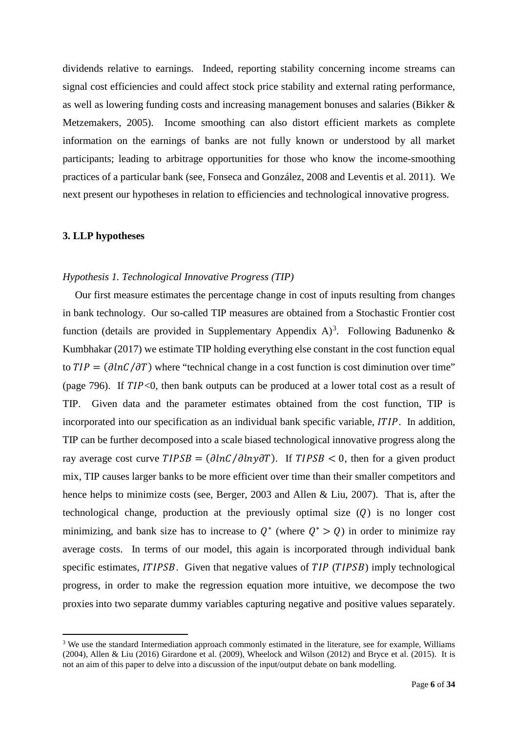dividends relative to earnings. Indeed, reporting stability concerning income streams can signal cost efficiencies and could affect stock price stability and external rating performance, as well as lowering funding costs and increasing management bonuses and salaries (Bikker & Metzemakers, 2005). Income smoothing can also distort efficient markets as complete information on the earnings of banks are not fully known or understood by all market participants; leading to arbitrage opportunities for those who know the income-smoothing practices of a particular bank (see, Fonseca and González, 2008 and Leventis et al. 2011). We next present our hypotheses in relation to efficiencies and technological innovative progress.

#### **3. LLP hypotheses**

#### *Hypothesis 1. Technological Innovative Progress (TIP)*

Our first measure estimates the percentage change in cost of inputs resulting from changes in bank technology. Our so-called TIP measures are obtained from a Stochastic Frontier cost function (details are provided in Supplementary Appendix A)<sup>[3](#page-6-0)</sup>. Following Badunenko & Kumbhakar (2017) we estimate TIP holding everything else constant in the cost function equal to  $TIP = (\partial lnC/\partial T)$  where "technical change in a cost function is cost diminution over time" (page 796). If  $TIP<0$ , then bank outputs can be produced at a lower total cost as a result of TIP. Given data and the parameter estimates obtained from the cost function, TIP is incorporated into our specification as an individual bank specific variable,  $ITIP$ . In addition, TIP can be further decomposed into a scale biased technological innovative progress along the ray average cost curve  $TIPSB = (\partial lnC / \partial lny \partial T)$ . If  $TIPSB < 0$ , then for a given product mix, TIP causes larger banks to be more efficient over time than their smaller competitors and hence helps to minimize costs (see, Berger, 2003 and Allen & Liu, 2007). That is, after the technological change, production at the previously optimal size  $(Q)$  is no longer cost minimizing, and bank size has to increase to  $Q^*$  (where  $Q^* > Q$ ) in order to minimize ray average costs. In terms of our model, this again is incorporated through individual bank specific estimates,  $ITIPSB$ . Given that negative values of  $TIP$  ( $TIPSB$ ) imply technological progress, in order to make the regression equation more intuitive, we decompose the two proxies into two separate dummy variables capturing negative and positive values separately.

<span id="page-6-0"></span><sup>&</sup>lt;sup>3</sup> We use the standard Intermediation approach commonly estimated in the literature, see for example, Williams (2004), Allen & Liu (2016) Girardone et al. (2009), Wheelock and Wilson (2012) and Bryce et al. (2015). It is not an aim of this paper to delve into a discussion of the input/output debate on bank modelling.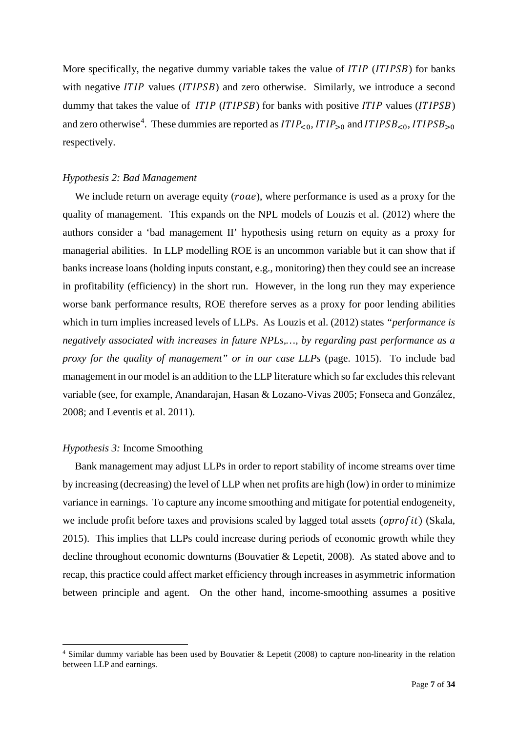More specifically, the negative dummy variable takes the value of  $ITIP$  ( $ITIPSB$ ) for banks with negative  $ITIP$  values  $(TIPSB)$  and zero otherwise. Similarly, we introduce a second dummy that takes the value of  $ITIP (ITIPSB)$  for banks with positive  $ITIP$  values ( $ITIPSB$ ) and zero otherwise<sup>[4](#page-7-0)</sup>. These dummies are reported as  $ITIP_{\leq 0}$ ,  $ITIP_{>0}$  and  $ITIPSB_{\leq 0}$ ,  $ITIPSB_{>0}$ respectively.

#### *Hypothesis 2: Bad Management*

We include return on average equity  $(\text{roae})$ , where performance is used as a proxy for the quality of management. This expands on the NPL models of Louzis et al. (2012) where the authors consider a 'bad management II' hypothesis using return on equity as a proxy for managerial abilities. In LLP modelling ROE is an uncommon variable but it can show that if banks increase loans (holding inputs constant, e.g., monitoring) then they could see an increase in profitability (efficiency) in the short run. However, in the long run they may experience worse bank performance results, ROE therefore serves as a proxy for poor lending abilities which in turn implies increased levels of LLPs. As Louzis et al. (2012) states *"performance is negatively associated with increases in future NPLs,…, by regarding past performance as a proxy for the quality of management" or in our case LLPs* (page. 1015). To include bad management in our model is an addition to the LLP literature which so far excludes this relevant variable (see, for example, Anandarajan, Hasan & Lozano-Vivas 2005; Fonseca and González, 2008; and Leventis et al. 2011).

#### *Hypothesis 3:* Income Smoothing

Bank management may adjust LLPs in order to report stability of income streams over time by increasing (decreasing) the level of LLP when net profits are high (low) in order to minimize variance in earnings. To capture any income smoothing and mitigate for potential endogeneity, we include profit before taxes and provisions scaled by lagged total assets ( $oprofit$ ) (Skala, 2015). This implies that LLPs could increase during periods of economic growth while they decline throughout economic downturns (Bouvatier & Lepetit, 2008). As stated above and to recap, this practice could affect market efficiency through increases in asymmetric information between principle and agent. On the other hand, income-smoothing assumes a positive

<span id="page-7-0"></span> <sup>4</sup> Similar dummy variable has been used by Bouvatier & Lepetit (2008) to capture non-linearity in the relation between LLP and earnings.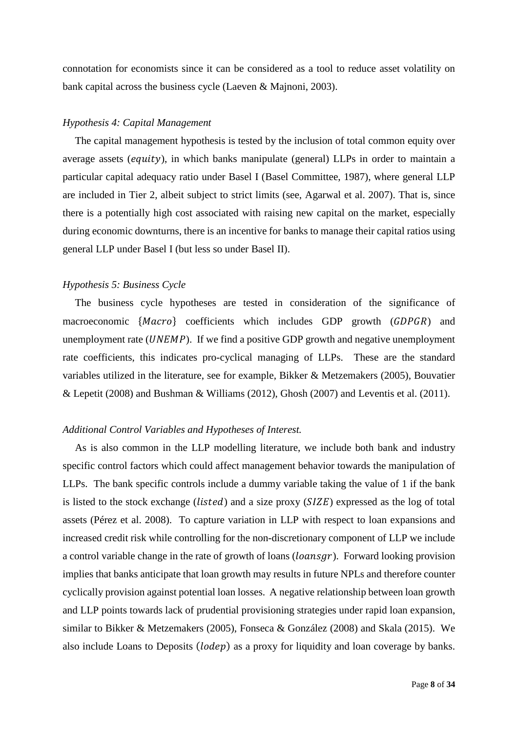connotation for economists since it can be considered as a tool to reduce asset volatility on bank capital across the business cycle (Laeven & Majnoni, 2003).

#### *Hypothesis 4: Capital Management*

The capital management hypothesis is tested by the inclusion of total common equity over average assets  $\left( \text{equivv} \right)$ , in which banks manipulate (general) LLPs in order to maintain a particular capital adequacy ratio under Basel I (Basel Committee, 1987), where general LLP are included in Tier 2, albeit subject to strict limits (see, Agarwal et al. 2007). That is, since there is a potentially high cost associated with raising new capital on the market, especially during economic downturns, there is an incentive for banks to manage their capital ratios using general LLP under Basel I (but less so under Basel II).

#### *Hypothesis 5: Business Cycle*

The business cycle hypotheses are tested in consideration of the significance of macroeconomic  ${Macco}$  coefficients which includes GDP growth  $(GDPGR)$  and unemployment rate  $(UNEMP)$ . If we find a positive GDP growth and negative unemployment rate coefficients, this indicates pro-cyclical managing of LLPs. These are the standard variables utilized in the literature, see for example, Bikker & Metzemakers (2005), Bouvatier & Lepetit (2008) and Bushman & Williams (2012), Ghosh (2007) and Leventis et al. (2011).

#### *Additional Control Variables and Hypotheses of Interest.*

As is also common in the LLP modelling literature, we include both bank and industry specific control factors which could affect management behavior towards the manipulation of LLPs. The bank specific controls include a dummy variable taking the value of 1 if the bank is listed to the stock exchange ( $listed$ ) and a size proxy ( $SIZE$ ) expressed as the log of total assets (Pérez et al. 2008). To capture variation in LLP with respect to loan expansions and increased credit risk while controlling for the non-discretionary component of LLP we include a control variable change in the rate of growth of loans  $(loansgr)$ . Forward looking provision implies that banks anticipate that loan growth may results in future NPLs and therefore counter cyclically provision against potential loan losses. A negative relationship between loan growth and LLP points towards lack of prudential provisioning strategies under rapid loan expansion, similar to Bikker & Metzemakers (2005), Fonseca & González (2008) and Skala (2015). We also include Loans to Deposits (*lodep*) as a proxy for liquidity and loan coverage by banks.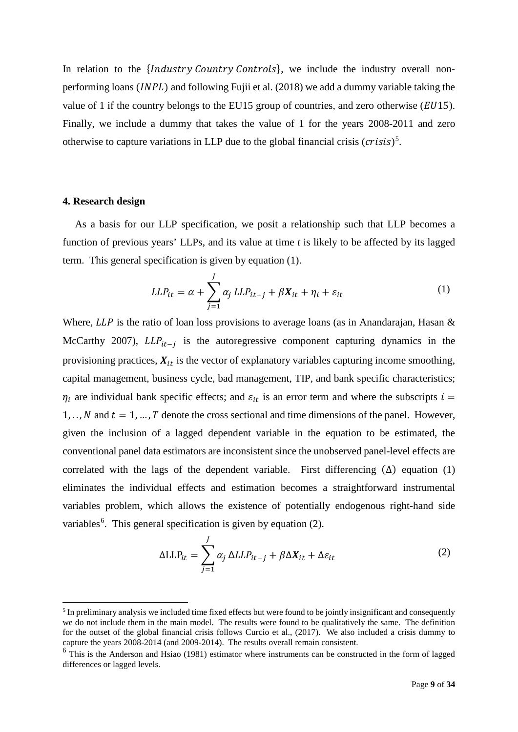In relation to the *{Industry Country Controls}*, we include the industry overall nonperforming loans (*INPL*) and following Fujii et al. (2018) we add a dummy variable taking the value of 1 if the country belongs to the EU15 group of countries, and zero otherwise  $(EU15)$ . Finally, we include a dummy that takes the value of 1 for the years 2008-2011 and zero otherwise to capture variations in LLP due to the global financial crisis  $(crisis)^5$  $(crisis)^5$ .

#### **4. Research design**

As a basis for our LLP specification, we posit a relationship such that LLP becomes a function of previous years' LLPs, and its value at time *t* is likely to be affected by its lagged term. This general specification is given by equation (1).

$$
LLP_{it} = \alpha + \sum_{j=1}^{J} \alpha_j LLP_{it-j} + \beta X_{it} + \eta_i + \varepsilon_{it}
$$
 (1)

Where,  $LLP$  is the ratio of loan loss provisions to average loans (as in Anandarajan, Hasan  $\&$ McCarthy 2007),  $LLP_{it-1}$  is the autoregressive component capturing dynamics in the provisioning practices,  $X_{it}$  is the vector of explanatory variables capturing income smoothing, capital management, business cycle, bad management, TIP, and bank specific characteristics;  $\eta_i$  are individual bank specific effects; and  $\varepsilon_{it}$  is an error term and where the subscripts  $i =$ 1, ..., N and  $t = 1, ..., T$  denote the cross sectional and time dimensions of the panel. However, given the inclusion of a lagged dependent variable in the equation to be estimated, the conventional panel data estimators are inconsistent since the unobserved panel-level effects are correlated with the lags of the dependent variable. First differencing  $(\Delta)$  equation (1) eliminates the individual effects and estimation becomes a straightforward instrumental variables problem, which allows the existence of potentially endogenous right-hand side variables<sup>[6](#page-9-1)</sup>. This general specification is given by equation (2).

$$
\Delta LLP_{it} = \sum_{j=1}^{J} \alpha_j \Delta LLP_{it-j} + \beta \Delta X_{it} + \Delta \varepsilon_{it}
$$
 (2)

<span id="page-9-0"></span><sup>&</sup>lt;sup>5</sup> In preliminary analysis we included time fixed effects but were found to be jointly insignificant and consequently we do not include them in the main model. The results were found to be qualitatively the same. The definition for the outset of the global financial crisis follows Curcio et al., (2017). We also included a crisis dummy to capture the years 2008-2014 (and 2009-2014). The results overall remain consistent.

<span id="page-9-1"></span><sup>&</sup>lt;sup>6</sup> This is the Anderson and Hsiao (1981) estimator where instruments can be constructed in the form of lagged differences or lagged levels.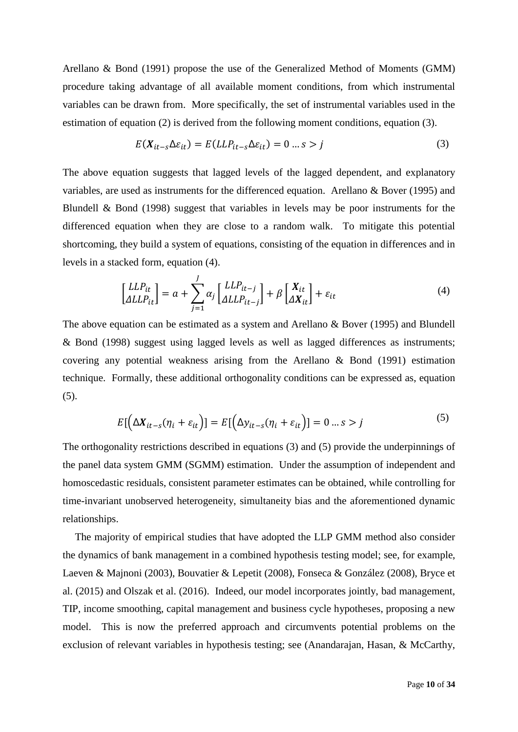Arellano & Bond (1991) propose the use of the Generalized Method of Moments (GMM) procedure taking advantage of all available moment conditions, from which instrumental variables can be drawn from. More specifically, the set of instrumental variables used in the estimation of equation (2) is derived from the following moment conditions, equation (3).

$$
E(X_{it-s}\Delta\varepsilon_{it}) = E(LL P_{it-s}\Delta\varepsilon_{it}) = 0 \dots s > j \tag{3}
$$

The above equation suggests that lagged levels of the lagged dependent, and explanatory variables, are used as instruments for the differenced equation. Arellano & Bover (1995) and Blundell & Bond (1998) suggest that variables in levels may be poor instruments for the differenced equation when they are close to a random walk. To mitigate this potential shortcoming, they build a system of equations, consisting of the equation in differences and in levels in a stacked form, equation (4).

$$
\begin{bmatrix} LLP_{it} \\ \Delta LLP_{it} \end{bmatrix} = a + \sum_{j=1}^{J} \alpha_j \begin{bmatrix} LLP_{it-j} \\ \Delta LLP_{it-j} \end{bmatrix} + \beta \begin{bmatrix} X_{it} \\ \Delta X_{it} \end{bmatrix} + \varepsilon_{it}
$$
 (4)

The above equation can be estimated as a system and Arellano & Bover (1995) and Blundell & Bond (1998) suggest using lagged levels as well as lagged differences as instruments; covering any potential weakness arising from the Arellano & Bond (1991) estimation technique. Formally, these additional orthogonality conditions can be expressed as, equation (5).

$$
E\left[\left(\Delta X_{it-s}(\eta_i + \varepsilon_{it})\right) = E\left[\left(\Delta y_{it-s}(\eta_i + \varepsilon_{it})\right)\right] = 0 \dots s > j \tag{5}
$$

The orthogonality restrictions described in equations (3) and (5) provide the underpinnings of the panel data system GMM (SGMM) estimation. Under the assumption of independent and homoscedastic residuals, consistent parameter estimates can be obtained, while controlling for time-invariant unobserved heterogeneity, simultaneity bias and the aforementioned dynamic relationships.

The majority of empirical studies that have adopted the LLP GMM method also consider the dynamics of bank management in a combined hypothesis testing model; see, for example, Laeven & Majnoni (2003), Bouvatier & Lepetit (2008), Fonseca & González (2008), Bryce et al. (2015) and Olszak et al. (2016). Indeed, our model incorporates jointly, bad management, TIP, income smoothing, capital management and business cycle hypotheses, proposing a new model. This is now the preferred approach and circumvents potential problems on the exclusion of relevant variables in hypothesis testing; see (Anandarajan, Hasan, & McCarthy,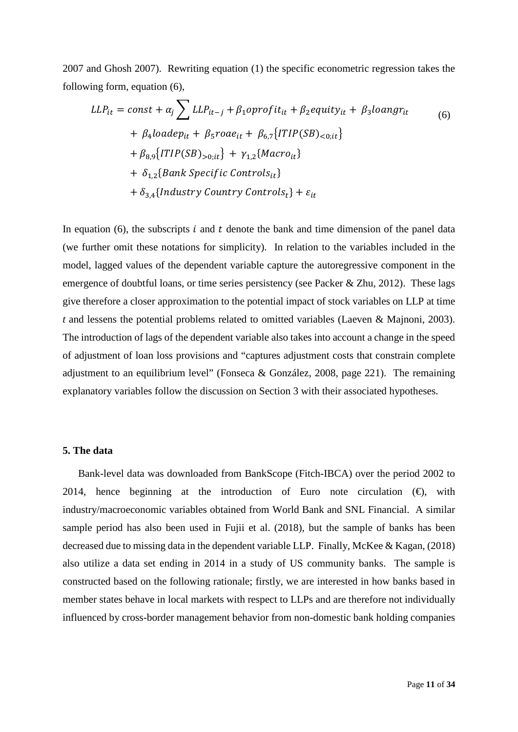2007 and Ghosh 2007). Rewriting equation (1) the specific econometric regression takes the following form, equation (6),

$$
LLP_{it} = const + \alpha_j \sum LLP_{it-j} + \beta_1 oprojit_{it} + \beta_2 equity_{it} + \beta_3 loangr_{it}
$$
  
+  $\beta_4 loadep_{it} + \beta_5 roae_{it} + \beta_{6,7} \{ITIP(SB)_{<0;it}\}\$   
+  $\beta_{8,9} \{ITIP(SB)_{>0;it}\} + \gamma_{1,2} \{Macro_{it}\}\$   
+  $\delta_{1,2} \{Bank Specific Controls_{it}\}\$   
+  $\delta_{3,4} \{Industry Country Controls_t\} + \varepsilon_{it}$ 

In equation (6), the subscripts  $\dot{\imath}$  and  $\dot{\imath}$  denote the bank and time dimension of the panel data (we further omit these notations for simplicity). In relation to the variables included in the model, lagged values of the dependent variable capture the autoregressive component in the emergence of doubtful loans, or time series persistency (see Packer & Zhu, 2012). These lags give therefore a closer approximation to the potential impact of stock variables on LLP at time *t* and lessens the potential problems related to omitted variables (Laeven & Majnoni, 2003). The introduction of lags of the dependent variable also takes into account a change in the speed of adjustment of loan loss provisions and "captures adjustment costs that constrain complete adjustment to an equilibrium level" (Fonseca & González, 2008, page 221). The remaining explanatory variables follow the discussion on Section 3 with their associated hypotheses.

#### **5. The data**

Bank-level data was downloaded from BankScope (Fitch-IBCA) over the period 2002 to 2014, hence beginning at the introduction of Euro note circulation  $(\theta)$ , with industry/macroeconomic variables obtained from World Bank and SNL Financial. A similar sample period has also been used in Fujii et al. (2018), but the sample of banks has been decreased due to missing data in the dependent variable LLP. Finally, McKee & Kagan, (2018) also utilize a data set ending in 2014 in a study of US community banks. The sample is constructed based on the following rationale; firstly, we are interested in how banks based in member states behave in local markets with respect to LLPs and are therefore not individually influenced by cross-border management behavior from non-domestic bank holding companies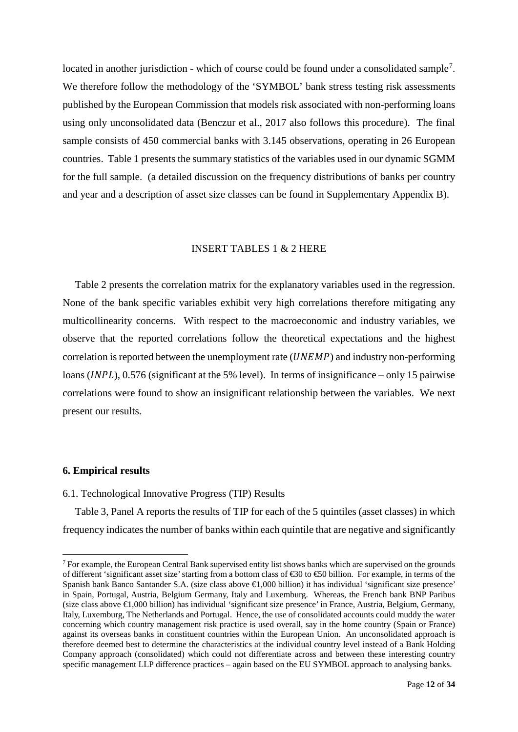located in another jurisdiction - which of course could be found under a consolidated sample<sup>[7](#page-12-0)</sup>. We therefore follow the methodology of the 'SYMBOL' bank stress testing risk assessments published by the European Commission that models risk associated with non-performing loans using only unconsolidated data (Benczur et al., 2017 also follows this procedure). The final sample consists of 450 commercial banks with 3.145 observations, operating in 26 European countries. Table 1 presents the summary statistics of the variables used in our dynamic SGMM for the full sample. (a detailed discussion on the frequency distributions of banks per country and year and a description of asset size classes can be found in Supplementary Appendix B).

#### INSERT TABLES 1 & 2 HERE

Table 2 presents the correlation matrix for the explanatory variables used in the regression. None of the bank specific variables exhibit very high correlations therefore mitigating any multicollinearity concerns. With respect to the macroeconomic and industry variables, we observe that the reported correlations follow the theoretical expectations and the highest correlation is reported between the unemployment rate  $(UNEMP)$  and industry non-performing loans ( $\text{INPL}$ ), 0.576 (significant at the 5% level). In terms of insignificance – only 15 pairwise correlations were found to show an insignificant relationship between the variables. We next present our results.

#### **6. Empirical results**

#### 6.1. Technological Innovative Progress (TIP) Results

Table 3, Panel A reports the results of TIP for each of the 5 quintiles (asset classes) in which frequency indicates the number of banks within each quintile that are negative and significantly

<span id="page-12-0"></span><sup>&</sup>lt;sup>7</sup> For example, the European Central Bank supervised entity list shows banks which are supervised on the grounds of different 'significant asset size' starting from a bottom class of €30 to €50 billion. For example, in terms of the Spanish bank Banco Santander S.A. (size class above €1,000 billion) it has individual 'significant size presence' in Spain, Portugal, Austria, Belgium Germany, Italy and Luxemburg. Whereas, the French bank BNP Paribus (size class above €1,000 billion) has individual 'significant size presence' in France, Austria, Belgium, Germany, Italy, Luxemburg, The Netherlands and Portugal. Hence, the use of consolidated accounts could muddy the water concerning which country management risk practice is used overall, say in the home country (Spain or France) against its overseas banks in constituent countries within the European Union. An unconsolidated approach is therefore deemed best to determine the characteristics at the individual country level instead of a Bank Holding Company approach (consolidated) which could not differentiate across and between these interesting country specific management LLP difference practices – again based on the EU SYMBOL approach to analysing banks.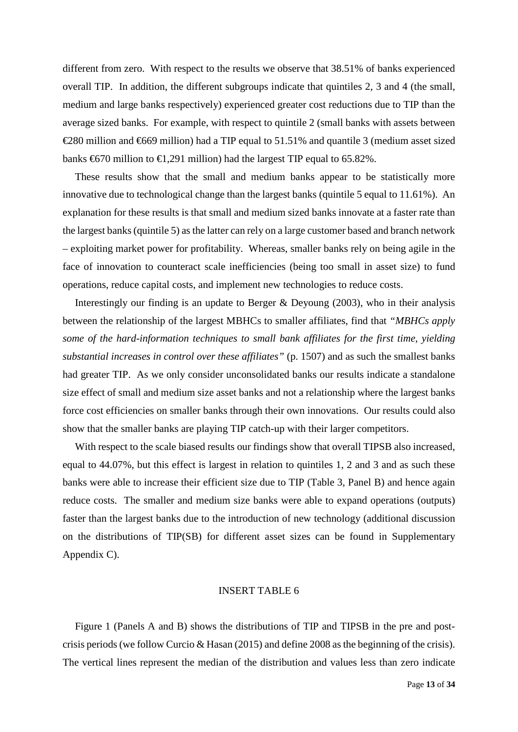different from zero. With respect to the results we observe that 38.51% of banks experienced overall TIP. In addition, the different subgroups indicate that quintiles 2, 3 and 4 (the small, medium and large banks respectively) experienced greater cost reductions due to TIP than the average sized banks. For example, with respect to quintile 2 (small banks with assets between €280 million and €669 million) had a TIP equal to 51.51% and quantile 3 (medium asset sized banks  $\text{\textsterling}670$  million to  $\text{\textsterling}1,291$  million) had the largest TIP equal to 65.82%.

These results show that the small and medium banks appear to be statistically more innovative due to technological change than the largest banks (quintile 5 equal to 11.61%). An explanation for these results is that small and medium sized banks innovate at a faster rate than the largest banks (quintile 5) as the latter can rely on a large customer based and branch network – exploiting market power for profitability. Whereas, smaller banks rely on being agile in the face of innovation to counteract scale inefficiencies (being too small in asset size) to fund operations, reduce capital costs, and implement new technologies to reduce costs.

Interestingly our finding is an update to Berger  $\&$  Deyoung (2003), who in their analysis between the relationship of the largest MBHCs to smaller affiliates, find that *"MBHCs apply some of the hard-information techniques to small bank affiliates for the first time, yielding substantial increases in control over these affiliates"* (p. 1507) and as such the smallest banks had greater TIP. As we only consider unconsolidated banks our results indicate a standalone size effect of small and medium size asset banks and not a relationship where the largest banks force cost efficiencies on smaller banks through their own innovations. Our results could also show that the smaller banks are playing TIP catch-up with their larger competitors.

With respect to the scale biased results our findings show that overall TIPSB also increased, equal to 44.07%, but this effect is largest in relation to quintiles 1, 2 and 3 and as such these banks were able to increase their efficient size due to TIP (Table 3, Panel B) and hence again reduce costs. The smaller and medium size banks were able to expand operations (outputs) faster than the largest banks due to the introduction of new technology (additional discussion on the distributions of TIP(SB) for different asset sizes can be found in Supplementary Appendix C).

#### INSERT TABLE 6

Figure 1 (Panels A and B) shows the distributions of TIP and TIPSB in the pre and postcrisis periods (we follow Curcio & Hasan (2015) and define 2008 as the beginning of the crisis). The vertical lines represent the median of the distribution and values less than zero indicate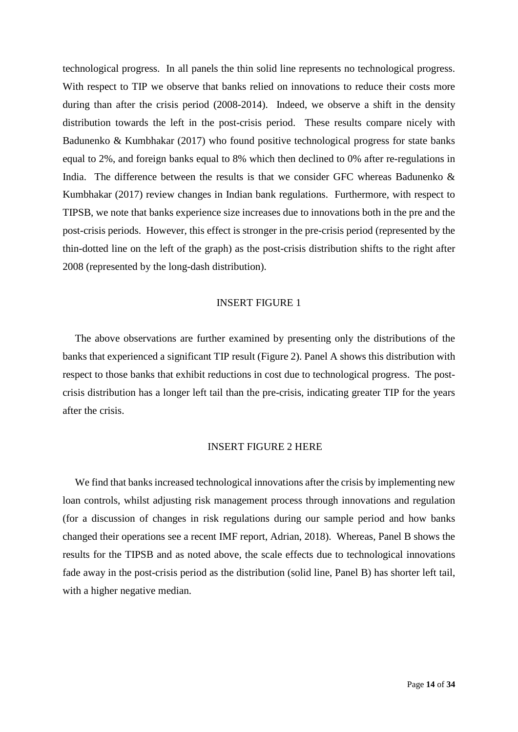technological progress. In all panels the thin solid line represents no technological progress. With respect to TIP we observe that banks relied on innovations to reduce their costs more during than after the crisis period (2008-2014). Indeed, we observe a shift in the density distribution towards the left in the post-crisis period. These results compare nicely with Badunenko & Kumbhakar (2017) who found positive technological progress for state banks equal to 2%, and foreign banks equal to 8% which then declined to 0% after re-regulations in India. The difference between the results is that we consider GFC whereas Badunenko & Kumbhakar (2017) review changes in Indian bank regulations. Furthermore, with respect to TIPSB, we note that banks experience size increases due to innovations both in the pre and the post-crisis periods. However, this effect is stronger in the pre-crisis period (represented by the thin-dotted line on the left of the graph) as the post-crisis distribution shifts to the right after 2008 (represented by the long-dash distribution).

#### INSERT FIGURE 1

The above observations are further examined by presenting only the distributions of the banks that experienced a significant TIP result (Figure 2). Panel A shows this distribution with respect to those banks that exhibit reductions in cost due to technological progress. The postcrisis distribution has a longer left tail than the pre-crisis, indicating greater TIP for the years after the crisis.

#### INSERT FIGURE 2 HERE

We find that banks increased technological innovations after the crisis by implementing new loan controls, whilst adjusting risk management process through innovations and regulation (for a discussion of changes in risk regulations during our sample period and how banks changed their operations see a recent IMF report, Adrian, 2018). Whereas, Panel B shows the results for the TIPSB and as noted above, the scale effects due to technological innovations fade away in the post-crisis period as the distribution (solid line, Panel B) has shorter left tail, with a higher negative median.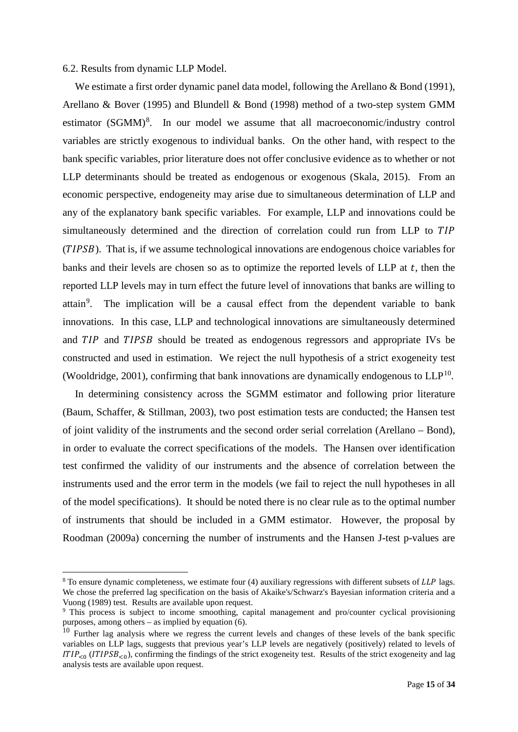#### 6.2. Results from dynamic LLP Model.

We estimate a first order dynamic panel data model, following the Arellano & Bond (1991), Arellano & Bover (1995) and Blundell & Bond (1998) method of a two-step system GMM estimator (SGMM)<sup>[8](#page-15-0)</sup>. In our model we assume that all macroeconomic/industry control variables are strictly exogenous to individual banks. On the other hand, with respect to the bank specific variables, prior literature does not offer conclusive evidence as to whether or not LLP determinants should be treated as endogenous or exogenous (Skala, 2015). From an economic perspective, endogeneity may arise due to simultaneous determination of LLP and any of the explanatory bank specific variables. For example, LLP and innovations could be simultaneously determined and the direction of correlation could run from LLP to TIP (TIPSB). That is, if we assume technological innovations are endogenous choice variables for banks and their levels are chosen so as to optimize the reported levels of LLP at  $t$ , then the reported LLP levels may in turn effect the future level of innovations that banks are willing to attain<sup>[9](#page-15-1)</sup>. The implication will be a causal effect from the dependent variable to bank innovations. In this case, LLP and technological innovations are simultaneously determined and TIP and TIPSB should be treated as endogenous regressors and appropriate IVs be constructed and used in estimation. We reject the null hypothesis of a strict exogeneity test (Wooldridge, 2001), confirming that bank innovations are dynamically endogenous to  $LLP^{10}$ .

In determining consistency across the SGMM estimator and following prior literature (Baum, Schaffer, & Stillman, 2003), two post estimation tests are conducted; the Hansen test of joint validity of the instruments and the second order serial correlation (Arellano – Bond), in order to evaluate the correct specifications of the models. The Hansen over identification test confirmed the validity of our instruments and the absence of correlation between the instruments used and the error term in the models (we fail to reject the null hypotheses in all of the model specifications). It should be noted there is no clear rule as to the optimal number of instruments that should be included in a GMM estimator. However, the proposal by Roodman (2009a) concerning the number of instruments and the Hansen J-test p-values are

<span id="page-15-0"></span> $8$  To ensure dynamic completeness, we estimate four (4) auxiliary regressions with different subsets of LLP lags. We chose the preferred lag specification on the basis of Akaike's/Schwarz's Bayesian information criteria and a Vuong (1989) test. Results are available upon request.

<span id="page-15-1"></span><sup>9</sup> This process is subject to income smoothing, capital management and pro/counter cyclical provisioning purposes, among others – as implied by equation (6).

<span id="page-15-2"></span><sup>&</sup>lt;sup>10</sup> Further lag analysis where we regress the current levels and changes of these levels of the bank specific variables on LLP lags, suggests that previous year's LLP levels are negatively (positively) related to levels of  $ITIP<sub>0</sub>$  (*ITIPSB*<sub> $<0$ ), confirming the findings of the strict exogeneity test. Results of the strict exogeneity and lag</sub> analysis tests are available upon request.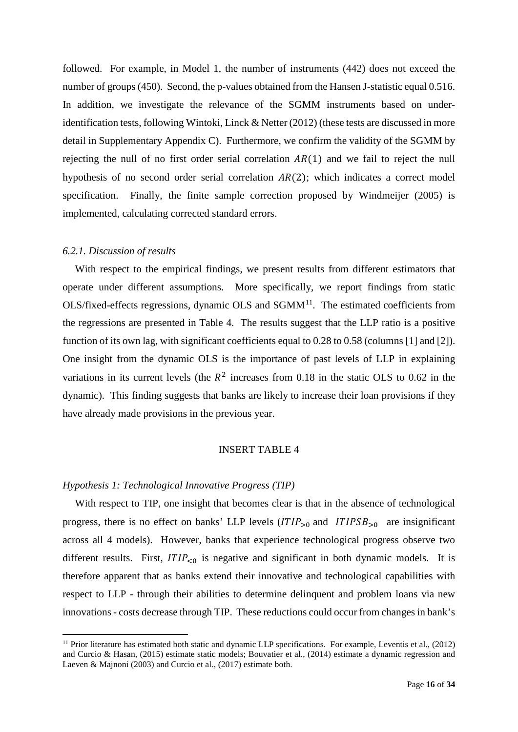followed. For example, in Model 1, the number of instruments (442) does not exceed the number of groups (450). Second, the p-values obtained from the Hansen J-statistic equal 0.516. In addition, we investigate the relevance of the SGMM instruments based on underidentification tests, following Wintoki, Linck & Netter (2012) (these tests are discussed in more detail in Supplementary Appendix C). Furthermore, we confirm the validity of the SGMM by rejecting the null of no first order serial correlation  $AR(1)$  and we fail to reject the null hypothesis of no second order serial correlation  $AR(2)$ ; which indicates a correct model specification. Finally, the finite sample correction proposed by Windmeijer (2005) is implemented, calculating corrected standard errors.

#### *6.2.1. Discussion of results*

With respect to the empirical findings, we present results from different estimators that operate under different assumptions. More specifically, we report findings from static  $OLS/fixed-effects$  regressions, dynamic  $OLS$  and  $SGMM<sup>11</sup>$  $SGMM<sup>11</sup>$  $SGMM<sup>11</sup>$ . The estimated coefficients from the regressions are presented in Table 4. The results suggest that the LLP ratio is a positive function of its own lag, with significant coefficients equal to 0.28 to 0.58 (columns [1] and [2]). One insight from the dynamic OLS is the importance of past levels of LLP in explaining variations in its current levels (the  $R^2$  increases from 0.18 in the static OLS to 0.62 in the dynamic). This finding suggests that banks are likely to increase their loan provisions if they have already made provisions in the previous year.

#### INSERT TABLE 4

#### *Hypothesis 1: Technological Innovative Progress (TIP)*

With respect to TIP, one insight that becomes clear is that in the absence of technological progress, there is no effect on banks' LLP levels  $(TIP_{>0}$  and  $ITIPSB_{>0}$  are insignificant across all 4 models). However, banks that experience technological progress observe two different results. First,  $ITIP<sub>0</sub>$  is negative and significant in both dynamic models. It is therefore apparent that as banks extend their innovative and technological capabilities with respect to LLP - through their abilities to determine delinquent and problem loans via new innovations - costs decrease through TIP. These reductions could occur from changes in bank's

<span id="page-16-0"></span><sup>&</sup>lt;sup>11</sup> Prior literature has estimated both static and dynamic LLP specifications. For example, Leventis et al.,  $(2012)$ and Curcio & Hasan, (2015) estimate static models; Bouvatier et al., (2014) estimate a dynamic regression and Laeven & Majnoni (2003) and Curcio et al., (2017) estimate both.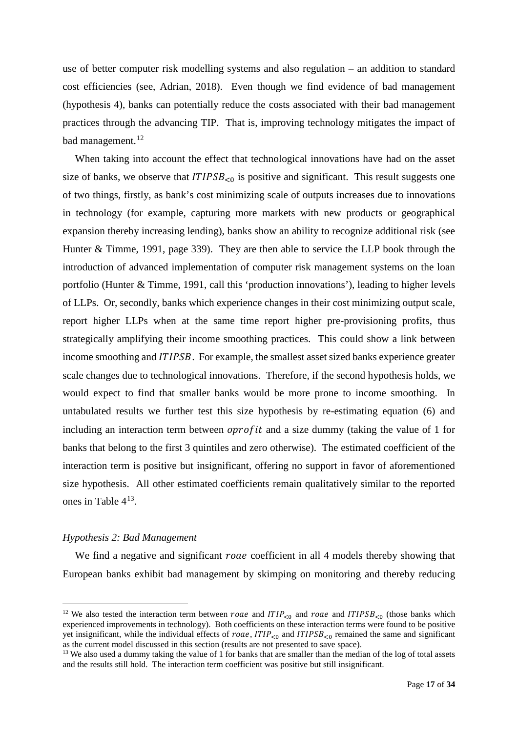use of better computer risk modelling systems and also regulation – an addition to standard cost efficiencies (see, Adrian, 2018). Even though we find evidence of bad management (hypothesis 4), banks can potentially reduce the costs associated with their bad management practices through the advancing TIP. That is, improving technology mitigates the impact of bad management.<sup>[12](#page-17-0)</sup>

When taking into account the effect that technological innovations have had on the asset size of banks, we observe that  $ITIPSB<sub>0</sub>$  is positive and significant. This result suggests one of two things, firstly, as bank's cost minimizing scale of outputs increases due to innovations in technology (for example, capturing more markets with new products or geographical expansion thereby increasing lending), banks show an ability to recognize additional risk (see Hunter & Timme, 1991, page 339). They are then able to service the LLP book through the introduction of advanced implementation of computer risk management systems on the loan portfolio (Hunter & Timme, 1991, call this 'production innovations'), leading to higher levels of LLPs. Or, secondly, banks which experience changes in their cost minimizing output scale, report higher LLPs when at the same time report higher pre-provisioning profits, thus strategically amplifying their income smoothing practices. This could show a link between income smoothing and *ITIPSB*. For example, the smallest asset sized banks experience greater scale changes due to technological innovations. Therefore, if the second hypothesis holds, we would expect to find that smaller banks would be more prone to income smoothing. In untabulated results we further test this size hypothesis by re-estimating equation (6) and including an interaction term between  $oprofit$  and a size dummy (taking the value of 1 for banks that belong to the first 3 quintiles and zero otherwise). The estimated coefficient of the interaction term is positive but insignificant, offering no support in favor of aforementioned size hypothesis. All other estimated coefficients remain qualitatively similar to the reported ones in Table 4[13](#page-17-1).

#### *Hypothesis 2: Bad Management*

We find a negative and significant roae coefficient in all 4 models thereby showing that European banks exhibit bad management by skimping on monitoring and thereby reducing

<span id="page-17-0"></span><sup>&</sup>lt;sup>12</sup> We also tested the interaction term between *roae* and  $ITIP<sub>c0</sub>$  and *roae* and  $ITIPSB<sub>c0</sub>$  (those banks which experienced improvements in technology). Both coefficients on these interaction terms were found to be positive yet insignificant, while the individual effects of roae,  $ITIP<sub>0</sub>$  and  $ITIPSB<sub>0</sub>$  remained the same and significant as the current model discussed in this section (results are not presented to save space).

<span id="page-17-1"></span><sup>&</sup>lt;sup>13</sup> We also used a dummy taking the value of 1 for banks that are smaller than the median of the log of total assets and the results still hold. The interaction term coefficient was positive but still insignificant.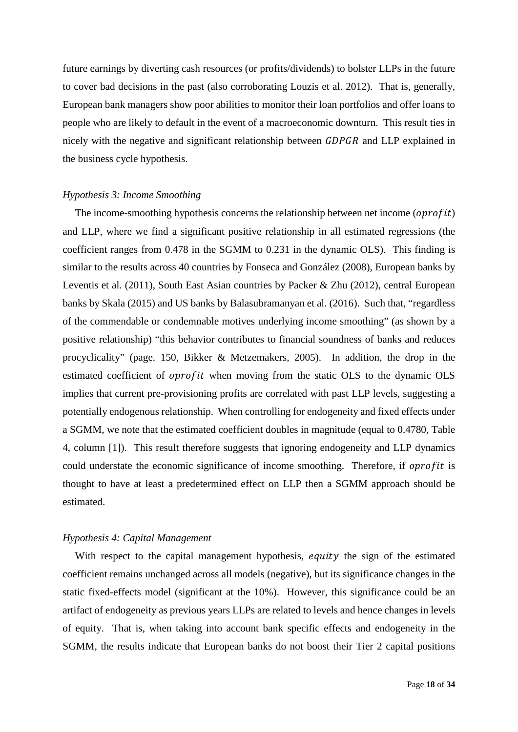future earnings by diverting cash resources (or profits/dividends) to bolster LLPs in the future to cover bad decisions in the past (also corroborating Louzis et al. 2012). That is, generally, European bank managers show poor abilities to monitor their loan portfolios and offer loans to people who are likely to default in the event of a macroeconomic downturn. This result ties in nicely with the negative and significant relationship between  $GDPGR$  and LLP explained in the business cycle hypothesis.

#### *Hypothesis 3: Income Smoothing*

The income-smoothing hypothesis concerns the relationship between net income ( $oprofit$ ) and LLP, where we find a significant positive relationship in all estimated regressions (the coefficient ranges from 0.478 in the SGMM to 0.231 in the dynamic OLS). This finding is similar to the results across 40 countries by Fonseca and González (2008), European banks by Leventis et al. (2011), South East Asian countries by Packer & Zhu (2012), central European banks by Skala (2015) and US banks by Balasubramanyan et al. (2016). Such that, "regardless of the commendable or condemnable motives underlying income smoothing" (as shown by a positive relationship) "this behavior contributes to financial soundness of banks and reduces procyclicality" (page. 150, Bikker & Metzemakers, 2005). In addition, the drop in the estimated coefficient of *oprofit* when moving from the static OLS to the dynamic OLS implies that current pre-provisioning profits are correlated with past LLP levels, suggesting a potentially endogenous relationship. When controlling for endogeneity and fixed effects under a SGMM, we note that the estimated coefficient doubles in magnitude (equal to 0.4780, Table 4, column [1]). This result therefore suggests that ignoring endogeneity and LLP dynamics could understate the economic significance of income smoothing. Therefore, if *oprofit* is thought to have at least a predetermined effect on LLP then a SGMM approach should be estimated.

#### *Hypothesis 4: Capital Management*

With respect to the capital management hypothesis, equity the sign of the estimated coefficient remains unchanged across all models (negative), but its significance changes in the static fixed-effects model (significant at the 10%). However, this significance could be an artifact of endogeneity as previous years LLPs are related to levels and hence changes in levels of equity. That is, when taking into account bank specific effects and endogeneity in the SGMM, the results indicate that European banks do not boost their Tier 2 capital positions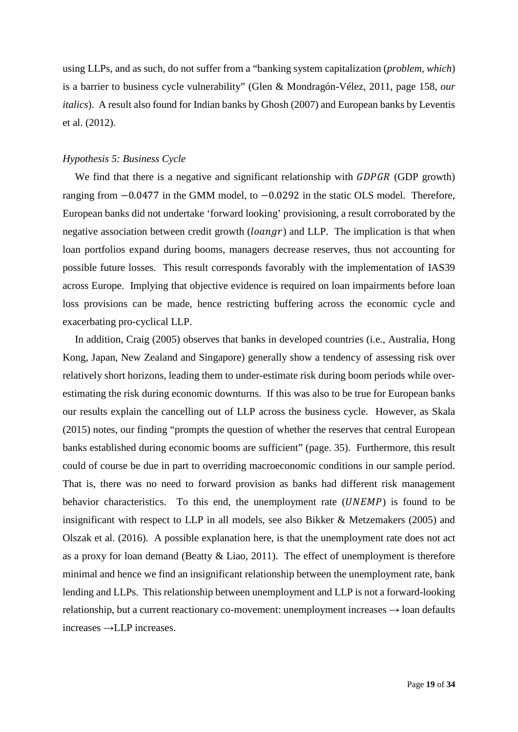using LLPs, and as such, do not suffer from a "banking system capitalization (*problem, which*) is a barrier to business cycle vulnerability" (Glen & Mondragón-Vélez, 2011, page 158, *our italics*). A result also found for Indian banks by Ghosh (2007) and European banks by Leventis et al. (2012).

#### *Hypothesis 5: Business Cycle*

We find that there is a negative and significant relationship with **GDPGR** (GDP growth) ranging from −0.0477 in the GMM model, to −0.0292 in the static OLS model. Therefore, European banks did not undertake 'forward looking' provisioning, a result corroborated by the negative association between credit growth  $(loangr)$  and LLP. The implication is that when loan portfolios expand during booms, managers decrease reserves, thus not accounting for possible future losses. This result corresponds favorably with the implementation of IAS39 across Europe. Implying that objective evidence is required on loan impairments before loan loss provisions can be made, hence restricting buffering across the economic cycle and exacerbating pro-cyclical LLP.

In addition, Craig (2005) observes that banks in developed countries (i.e., Australia, Hong Kong, Japan, New Zealand and Singapore) generally show a tendency of assessing risk over relatively short horizons, leading them to under-estimate risk during boom periods while overestimating the risk during economic downturns. If this was also to be true for European banks our results explain the cancelling out of LLP across the business cycle. However, as Skala (2015) notes, our finding "prompts the question of whether the reserves that central European banks established during economic booms are sufficient" (page. 35). Furthermore, this result could of course be due in part to overriding macroeconomic conditions in our sample period. That is, there was no need to forward provision as banks had different risk management behavior characteristics. To this end, the unemployment rate  $(UNEMP)$  is found to be insignificant with respect to LLP in all models, see also Bikker & Metzemakers (2005) and Olszak et al. (2016). A possible explanation here, is that the unemployment rate does not act as a proxy for loan demand (Beatty & Liao, 2011). The effect of unemployment is therefore minimal and hence we find an insignificant relationship between the unemployment rate, bank lending and LLPs. This relationship between unemployment and LLP is not a forward-looking relationship, but a current reactionary co-movement: unemployment increases  $\rightarrow$  loan defaults increases →LLP increases.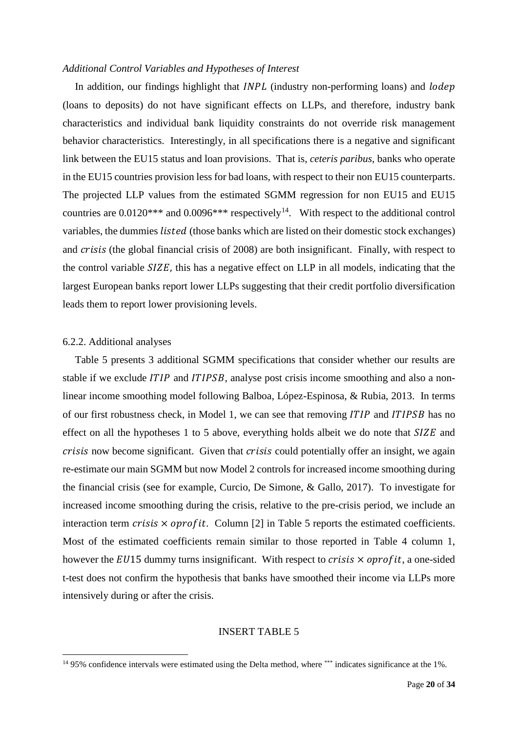#### *Additional Control Variables and Hypotheses of Interest*

In addition, our findings highlight that  $INPL$  (industry non-performing loans) and  $lodep$ (loans to deposits) do not have significant effects on LLPs, and therefore, industry bank characteristics and individual bank liquidity constraints do not override risk management behavior characteristics. Interestingly, in all specifications there is a negative and significant link between the EU15 status and loan provisions. That is, *ceteris paribus*, banks who operate in the EU15 countries provision less for bad loans, with respect to their non EU15 counterparts. The projected LLP values from the estimated SGMM regression for non EU15 and EU15 countries are  $0.0120***$  and  $0.0096***$  respectively<sup>14</sup>. With respect to the additional control variables, the dummies *listed* (those banks which are listed on their domestic stock exchanges) and *crisis* (the global financial crisis of 2008) are both insignificant. Finally, with respect to the control variable  $SIZE$ , this has a negative effect on LLP in all models, indicating that the largest European banks report lower LLPs suggesting that their credit portfolio diversification leads them to report lower provisioning levels.

#### 6.2.2. Additional analyses

Table 5 presents 3 additional SGMM specifications that consider whether our results are stable if we exclude *ITIP* and *ITIPSB*, analyse post crisis income smoothing and also a nonlinear income smoothing model following Balboa, López-Espinosa, & Rubia, 2013. In terms of our first robustness check, in Model 1, we can see that removing  $ITIP$  and  $ITIPSB$  has no effect on all the hypotheses 1 to 5 above, everything holds albeit we do note that  $SIZE$  and crisis now become significant. Given that crisis could potentially offer an insight, we again re-estimate our main SGMM but now Model 2 controls for increased income smoothing during the financial crisis (see for example, Curcio, De Simone, & Gallo, 2017). To investigate for increased income smoothing during the crisis, relative to the pre-crisis period, we include an interaction term *crisis*  $\times$  *oprofit.* Column [2] in Table 5 reports the estimated coefficients. Most of the estimated coefficients remain similar to those reported in Table 4 column 1, however the  $EUI5$  dummy turns insignificant. With respect to *crisis*  $\times$  *oprofit*, a one-sided t-test does not confirm the hypothesis that banks have smoothed their income via LLPs more intensively during or after the crisis.

#### INSERT TABLE 5

<span id="page-20-0"></span><sup>&</sup>lt;sup>14</sup> 95% confidence intervals were estimated using the Delta method, where \*\*\* indicates significance at the 1%.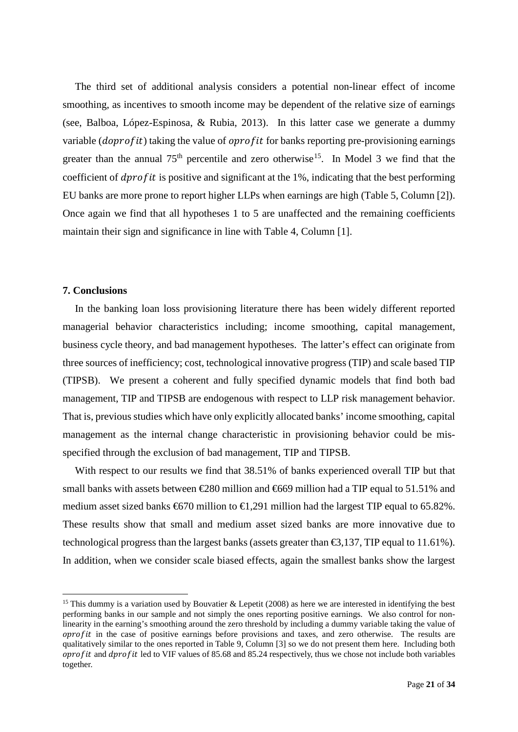The third set of additional analysis considers a potential non-linear effect of income smoothing, as incentives to smooth income may be dependent of the relative size of earnings (see, Balboa, López-Espinosa, & Rubia, 2013). In this latter case we generate a dummy variable  $(doprofit)$  taking the value of  $oprofit$  for banks reporting pre-provisioning earnings greater than the annual  $75<sup>th</sup>$  percentile and zero otherwise<sup>[15](#page-21-0)</sup>. In Model 3 we find that the coefficient of  $\frac{dp}{dt}$  is positive and significant at the 1%, indicating that the best performing EU banks are more prone to report higher LLPs when earnings are high (Table 5, Column [2]). Once again we find that all hypotheses 1 to 5 are unaffected and the remaining coefficients maintain their sign and significance in line with Table 4, Column [1].

#### **7. Conclusions**

In the banking loan loss provisioning literature there has been widely different reported managerial behavior characteristics including; income smoothing, capital management, business cycle theory, and bad management hypotheses. The latter's effect can originate from three sources of inefficiency; cost, technological innovative progress (TIP) and scale based TIP (TIPSB). We present a coherent and fully specified dynamic models that find both bad management, TIP and TIPSB are endogenous with respect to LLP risk management behavior. That is, previous studies which have only explicitly allocated banks' income smoothing, capital management as the internal change characteristic in provisioning behavior could be misspecified through the exclusion of bad management, TIP and TIPSB.

With respect to our results we find that 38.51% of banks experienced overall TIP but that small banks with assets between  $\in \mathcal{Q}80$  million and  $\in \mathcal{G}69$  million had a TIP equal to 51.51% and medium asset sized banks  $6670$  million to  $61,291$  million had the largest TIP equal to 65.82%. These results show that small and medium asset sized banks are more innovative due to technological progress than the largest banks (assets greater than  $\epsilon$ 3,137, TIP equal to 11.61%). In addition, when we consider scale biased effects, again the smallest banks show the largest

<span id="page-21-0"></span><sup>&</sup>lt;sup>15</sup> This dummy is a variation used by Bouvatier & Lepetit (2008) as here we are interested in identifying the best performing banks in our sample and not simply the ones reporting positive earnings. We also control for nonlinearity in the earning's smoothing around the zero threshold by including a dummy variable taking the value of  $\alpha$  *orrofit* in the case of positive earnings before provisions and taxes, and zero otherwise. The results are qualitatively similar to the ones reported in Table 9, Column [3] so we do not present them here. Including both oprofit and dprofit led to VIF values of 85.68 and 85.24 respectively, thus we chose not include both variables together.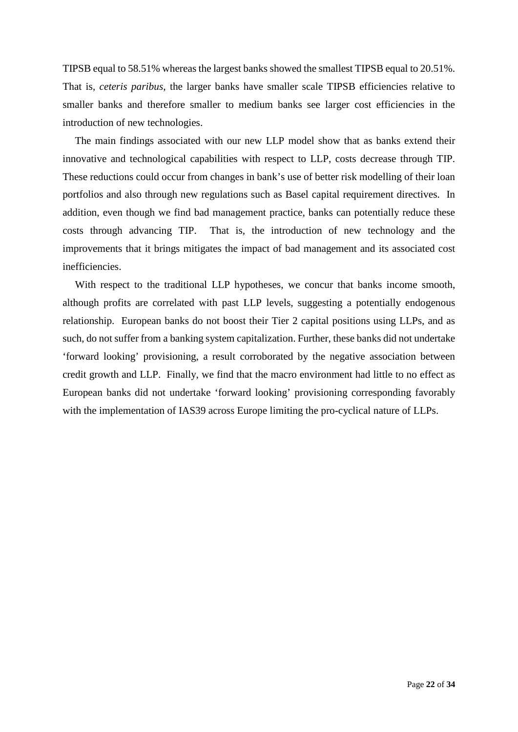TIPSB equal to 58.51% whereas the largest banks showed the smallest TIPSB equal to 20.51%. That is, *ceteris paribus*, the larger banks have smaller scale TIPSB efficiencies relative to smaller banks and therefore smaller to medium banks see larger cost efficiencies in the introduction of new technologies.

The main findings associated with our new LLP model show that as banks extend their innovative and technological capabilities with respect to LLP, costs decrease through TIP. These reductions could occur from changes in bank's use of better risk modelling of their loan portfolios and also through new regulations such as Basel capital requirement directives. In addition, even though we find bad management practice, banks can potentially reduce these costs through advancing TIP. That is, the introduction of new technology and the improvements that it brings mitigates the impact of bad management and its associated cost inefficiencies.

With respect to the traditional LLP hypotheses, we concur that banks income smooth, although profits are correlated with past LLP levels, suggesting a potentially endogenous relationship. European banks do not boost their Tier 2 capital positions using LLPs, and as such, do not suffer from a banking system capitalization. Further, these banks did not undertake 'forward looking' provisioning, a result corroborated by the negative association between credit growth and LLP. Finally, we find that the macro environment had little to no effect as European banks did not undertake 'forward looking' provisioning corresponding favorably with the implementation of IAS39 across Europe limiting the pro-cyclical nature of LLPs.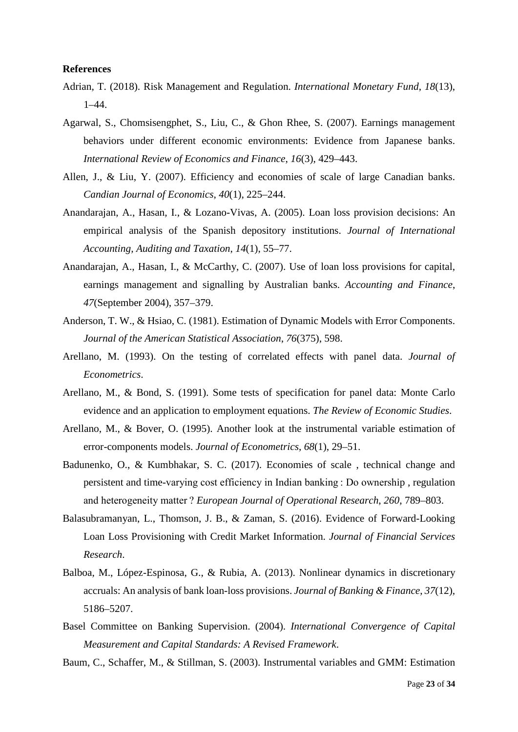#### **References**

- Adrian, T. (2018). Risk Management and Regulation. *International Monetary Fund*, *18*(13), 1–44.
- Agarwal, S., Chomsisengphet, S., Liu, C., & Ghon Rhee, S. (2007). Earnings management behaviors under different economic environments: Evidence from Japanese banks. *International Review of Economics and Finance*, *16*(3), 429–443.
- Allen, J., & Liu, Y. (2007). Efficiency and economies of scale of large Canadian banks. *Candian Journal of Economics*, *40*(1), 225–244.
- Anandarajan, A., Hasan, I., & Lozano-Vivas, A. (2005). Loan loss provision decisions: An empirical analysis of the Spanish depository institutions. *Journal of International Accounting, Auditing and Taxation*, *14*(1), 55–77.
- Anandarajan, A., Hasan, I., & McCarthy, C. (2007). Use of loan loss provisions for capital, earnings management and signalling by Australian banks. *Accounting and Finance*, *47*(September 2004), 357–379.
- Anderson, T. W., & Hsiao, C. (1981). Estimation of Dynamic Models with Error Components. *Journal of the American Statistical Association*, *76*(375), 598.
- Arellano, M. (1993). On the testing of correlated effects with panel data. *Journal of Econometrics*.
- Arellano, M., & Bond, S. (1991). Some tests of specification for panel data: Monte Carlo evidence and an application to employment equations. *The Review of Economic Studies*.
- Arellano, M., & Bover, O. (1995). Another look at the instrumental variable estimation of error-components models. *Journal of Econometrics*, *68*(1), 29–51.
- Badunenko, O., & Kumbhakar, S. C. (2017). Economies of scale , technical change and persistent and time-varying cost efficiency in Indian banking : Do ownership , regulation and heterogeneity matter ? *European Journal of Operational Research*, *260*, 789–803.
- Balasubramanyan, L., Thomson, J. B., & Zaman, S. (2016). Evidence of Forward-Looking Loan Loss Provisioning with Credit Market Information. *Journal of Financial Services Research*.
- Balboa, M., López-Espinosa, G., & Rubia, A. (2013). Nonlinear dynamics in discretionary accruals: An analysis of bank loan-loss provisions. *Journal of Banking & Finance*, *37*(12), 5186–5207.
- Basel Committee on Banking Supervision. (2004). *International Convergence of Capital Measurement and Capital Standards: A Revised Framework*.
- Baum, C., Schaffer, M., & Stillman, S. (2003). Instrumental variables and GMM: Estimation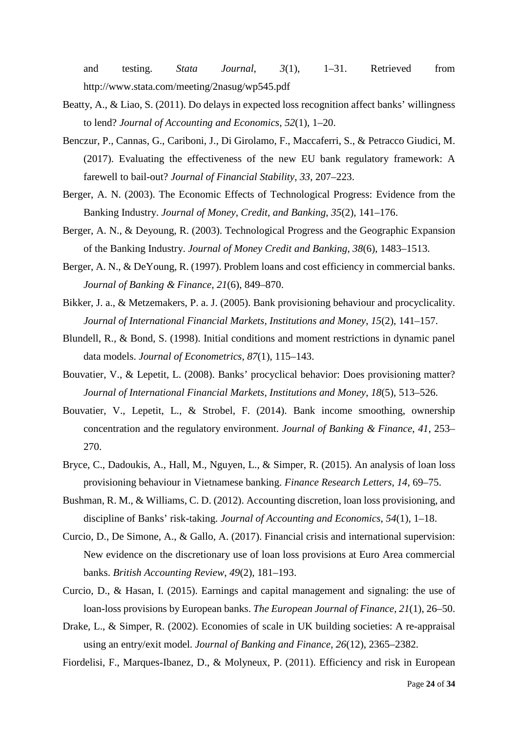and testing. *Stata Journal*, *3*(1), 1–31. Retrieved from http://www.stata.com/meeting/2nasug/wp545.pdf

- Beatty, A., & Liao, S. (2011). Do delays in expected loss recognition affect banks' willingness to lend? *Journal of Accounting and Economics*, *52*(1), 1–20.
- Benczur, P., Cannas, G., Cariboni, J., Di Girolamo, F., Maccaferri, S., & Petracco Giudici, M. (2017). Evaluating the effectiveness of the new EU bank regulatory framework: A farewell to bail-out? *Journal of Financial Stability*, *33*, 207–223.
- Berger, A. N. (2003). The Economic Effects of Technological Progress: Evidence from the Banking Industry. *Journal of Money, Credit, and Banking*, *35*(2), 141–176.
- Berger, A. N., & Deyoung, R. (2003). Technological Progress and the Geographic Expansion of the Banking Industry. *Journal of Money Credit and Banking*, *38*(6), 1483–1513.
- Berger, A. N., & DeYoung, R. (1997). Problem loans and cost efficiency in commercial banks. *Journal of Banking & Finance*, *21*(6), 849–870.
- Bikker, J. a., & Metzemakers, P. a. J. (2005). Bank provisioning behaviour and procyclicality. *Journal of International Financial Markets, Institutions and Money*, *15*(2), 141–157.
- Blundell, R., & Bond, S. (1998). Initial conditions and moment restrictions in dynamic panel data models. *Journal of Econometrics*, *87*(1), 115–143.
- Bouvatier, V., & Lepetit, L. (2008). Banks' procyclical behavior: Does provisioning matter? *Journal of International Financial Markets, Institutions and Money*, *18*(5), 513–526.
- Bouvatier, V., Lepetit, L., & Strobel, F. (2014). Bank income smoothing, ownership concentration and the regulatory environment. *Journal of Banking & Finance*, *41*, 253– 270.
- Bryce, C., Dadoukis, A., Hall, M., Nguyen, L., & Simper, R. (2015). An analysis of loan loss provisioning behaviour in Vietnamese banking. *Finance Research Letters*, *14*, 69–75.
- Bushman, R. M., & Williams, C. D. (2012). Accounting discretion, loan loss provisioning, and discipline of Banks' risk-taking. *Journal of Accounting and Economics*, *54*(1), 1–18.
- Curcio, D., De Simone, A., & Gallo, A. (2017). Financial crisis and international supervision: New evidence on the discretionary use of loan loss provisions at Euro Area commercial banks. *British Accounting Review*, *49*(2), 181–193.
- Curcio, D., & Hasan, I. (2015). Earnings and capital management and signaling: the use of loan-loss provisions by European banks. *The European Journal of Finance*, *21*(1), 26–50.
- Drake, L., & Simper, R. (2002). Economies of scale in UK building societies: A re-appraisal using an entry/exit model. *Journal of Banking and Finance*, *26*(12), 2365–2382.
- Fiordelisi, F., Marques-Ibanez, D., & Molyneux, P. (2011). Efficiency and risk in European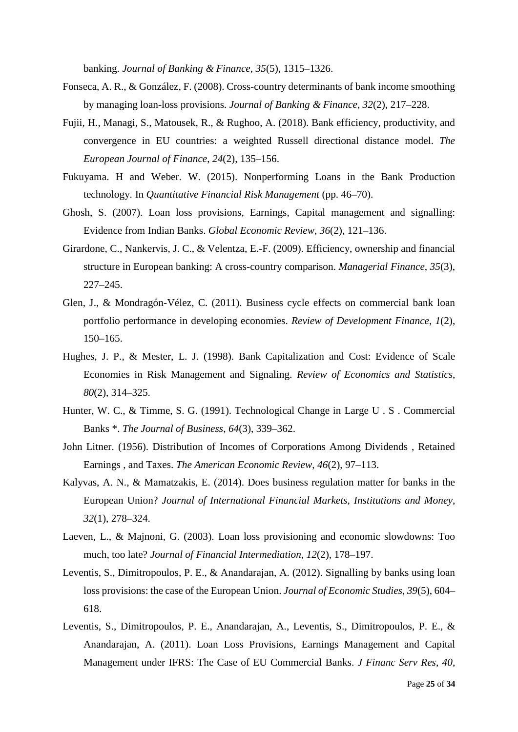banking. *Journal of Banking & Finance*, *35*(5), 1315–1326.

- Fonseca, A. R., & González, F. (2008). Cross-country determinants of bank income smoothing by managing loan-loss provisions. *Journal of Banking & Finance*, *32*(2), 217–228.
- Fujii, H., Managi, S., Matousek, R., & Rughoo, A. (2018). Bank efficiency, productivity, and convergence in EU countries: a weighted Russell directional distance model. *The European Journal of Finance*, *24*(2), 135–156.
- Fukuyama. H and Weber. W. (2015). Nonperforming Loans in the Bank Production technology. In *Quantitative Financial Risk Management* (pp. 46–70).
- Ghosh, S. (2007). Loan loss provisions, Earnings, Capital management and signalling: Evidence from Indian Banks. *Global Economic Review*, *36*(2), 121–136.
- Girardone, C., Nankervis, J. C., & Velentza, E.-F. (2009). Efficiency, ownership and financial structure in European banking: A cross-country comparison. *Managerial Finance*, *35*(3), 227–245.
- Glen, J., & Mondragón-Vélez, C. (2011). Business cycle effects on commercial bank loan portfolio performance in developing economies. *Review of Development Finance*, *1*(2), 150–165.
- Hughes, J. P., & Mester, L. J. (1998). Bank Capitalization and Cost: Evidence of Scale Economies in Risk Management and Signaling. *Review of Economics and Statistics*, *80*(2), 314–325.
- Hunter, W. C., & Timme, S. G. (1991). Technological Change in Large U . S . Commercial Banks \*. *The Journal of Business*, *64*(3), 339–362.
- John Litner. (1956). Distribution of Incomes of Corporations Among Dividends , Retained Earnings , and Taxes. *The American Economic Review*, *46*(2), 97–113.
- Kalyvas, A. N., & Mamatzakis, E. (2014). Does business regulation matter for banks in the European Union? *Journal of International Financial Markets, Institutions and Money*, *32*(1), 278–324.
- Laeven, L., & Majnoni, G. (2003). Loan loss provisioning and economic slowdowns: Too much, too late? *Journal of Financial Intermediation*, *12*(2), 178–197.
- Leventis, S., Dimitropoulos, P. E., & Anandarajan, A. (2012). Signalling by banks using loan loss provisions: the case of the European Union. *Journal of Economic Studies*, *39*(5), 604– 618.
- Leventis, S., Dimitropoulos, P. E., Anandarajan, A., Leventis, S., Dimitropoulos, P. E., & Anandarajan, A. (2011). Loan Loss Provisions, Earnings Management and Capital Management under IFRS: The Case of EU Commercial Banks. *J Financ Serv Res*, *40*,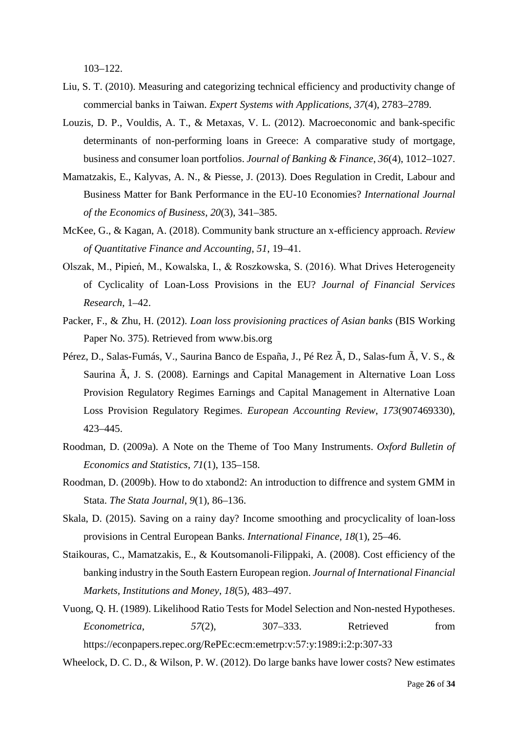103–122.

- Liu, S. T. (2010). Measuring and categorizing technical efficiency and productivity change of commercial banks in Taiwan. *Expert Systems with Applications*, *37*(4), 2783–2789.
- Louzis, D. P., Vouldis, A. T., & Metaxas, V. L. (2012). Macroeconomic and bank-specific determinants of non-performing loans in Greece: A comparative study of mortgage, business and consumer loan portfolios. *Journal of Banking & Finance*, *36*(4), 1012–1027.
- Mamatzakis, E., Kalyvas, A. N., & Piesse, J. (2013). Does Regulation in Credit, Labour and Business Matter for Bank Performance in the EU-10 Economies? *International Journal of the Economics of Business*, *20*(3), 341–385.
- McKee, G., & Kagan, A. (2018). Community bank structure an x-efficiency approach. *Review of Quantitative Finance and Accounting*, *51*, 19–41.
- Olszak, M., Pipień, M., Kowalska, I., & Roszkowska, S. (2016). What Drives Heterogeneity of Cyclicality of Loan-Loss Provisions in the EU? *Journal of Financial Services Research*, 1–42.
- Packer, F., & Zhu, H. (2012). *Loan loss provisioning practices of Asian banks* (BIS Working Paper No. 375). Retrieved from www.bis.org
- Pérez, D., Salas-Fumás, V., Saurina Banco de España, J., Pé Rez Ã, D., Salas-fum Ã, V. S., & Saurina Ã, J. S. (2008). Earnings and Capital Management in Alternative Loan Loss Provision Regulatory Regimes Earnings and Capital Management in Alternative Loan Loss Provision Regulatory Regimes. *European Accounting Review*, *173*(907469330), 423–445.
- Roodman, D. (2009a). A Note on the Theme of Too Many Instruments. *Oxford Bulletin of Economics and Statistics*, *71*(1), 135–158.
- Roodman, D. (2009b). How to do xtabond2: An introduction to diffrence and system GMM in Stata. *The Stata Journal*, *9*(1), 86–136.
- Skala, D. (2015). Saving on a rainy day? Income smoothing and procyclicality of loan-loss provisions in Central European Banks. *International Finance*, *18*(1), 25–46.
- Staikouras, C., Mamatzakis, E., & Koutsomanoli-Filippaki, A. (2008). Cost efficiency of the banking industry in the South Eastern European region. *Journal of International Financial Markets, Institutions and Money*, *18*(5), 483–497.
- Vuong, Q. H. (1989). Likelihood Ratio Tests for Model Selection and Non-nested Hypotheses. *Econometrica*, *57*(2), 307–333. Retrieved from https://econpapers.repec.org/RePEc:ecm:emetrp:v:57:y:1989:i:2:p:307-33

Wheelock, D. C. D., & Wilson, P. W. (2012). Do large banks have lower costs? New estimates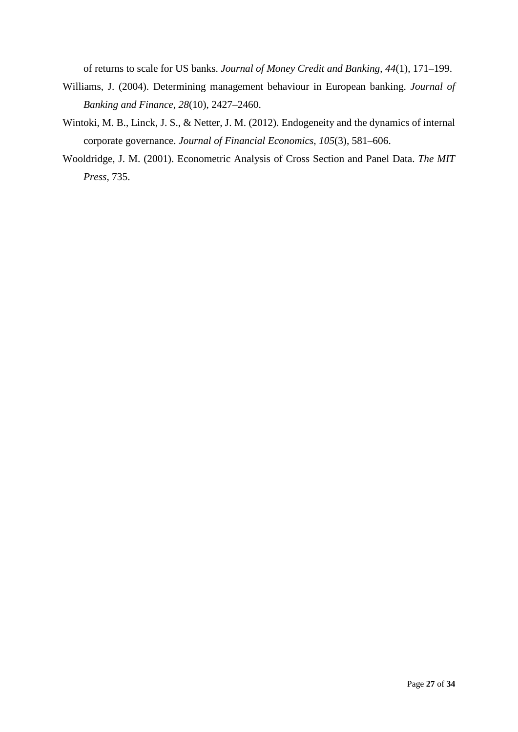of returns to scale for US banks. *Journal of Money Credit and Banking*, *44*(1), 171–199.

- Williams, J. (2004). Determining management behaviour in European banking. *Journal of Banking and Finance*, *28*(10), 2427–2460.
- Wintoki, M. B., Linck, J. S., & Netter, J. M. (2012). Endogeneity and the dynamics of internal corporate governance. *Journal of Financial Economics*, *105*(3), 581–606.
- Wooldridge, J. M. (2001). Econometric Analysis of Cross Section and Panel Data. *The MIT Press*, 735.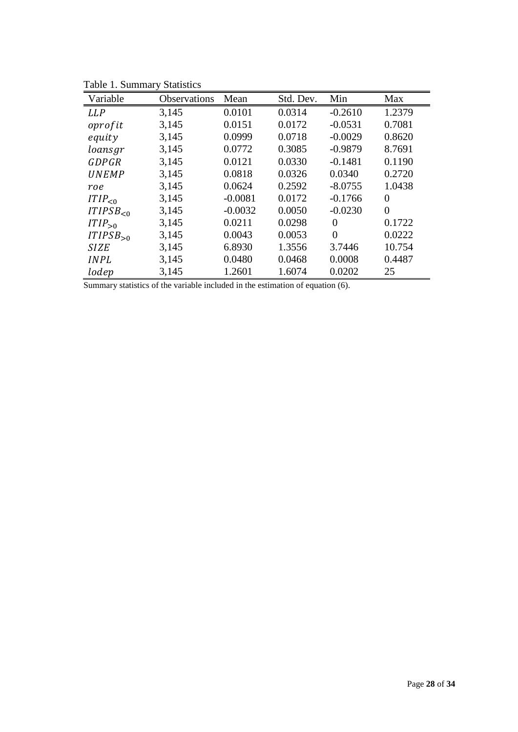| TUUIV 1. DUIIIIIIII Y<br>Variable | Observations | Mean      | Std. Dev. | Min            | Max            |
|-----------------------------------|--------------|-----------|-----------|----------------|----------------|
| <b>LLP</b>                        | 3,145        | 0.0101    | 0.0314    | $-0.2610$      | 1.2379         |
| oprofit                           | 3,145        | 0.0151    | 0.0172    | $-0.0531$      | 0.7081         |
| equity                            | 3,145        | 0.0999    | 0.0718    | $-0.0029$      | 0.8620         |
| loansgr                           | 3,145        | 0.0772    | 0.3085    | $-0.9879$      | 8.7691         |
| GDPGR                             | 3,145        | 0.0121    | 0.0330    | $-0.1481$      | 0.1190         |
| <b>UNEMP</b>                      | 3,145        | 0.0818    | 0.0326    | 0.0340         | 0.2720         |
| roe                               | 3,145        | 0.0624    | 0.2592    | $-8.0755$      | 1.0438         |
| ITIP <sub>0</sub>                 | 3,145        | $-0.0081$ | 0.0172    | $-0.1766$      | 0              |
| ITIPSB <sub>0</sub>               | 3,145        | $-0.0032$ | 0.0050    | $-0.0230$      | $\overline{0}$ |
| $ITIP_{>0}$                       | 3,145        | 0.0211    | 0.0298    | $\Omega$       | 0.1722         |
| $ITIPSB_{>0}$                     | 3,145        | 0.0043    | 0.0053    | $\overline{0}$ | 0.0222         |
| <b>SIZE</b>                       | 3,145        | 6.8930    | 1.3556    | 3.7446         | 10.754         |
| <b>INPL</b>                       | 3,145        | 0.0480    | 0.0468    | 0.0008         | 0.4487         |
| lodep                             | 3,145        | 1.2601    | 1.6074    | 0.0202         | 25             |

Table 1. Summary Statistics

Summary statistics of the variable included in the estimation of equation (6).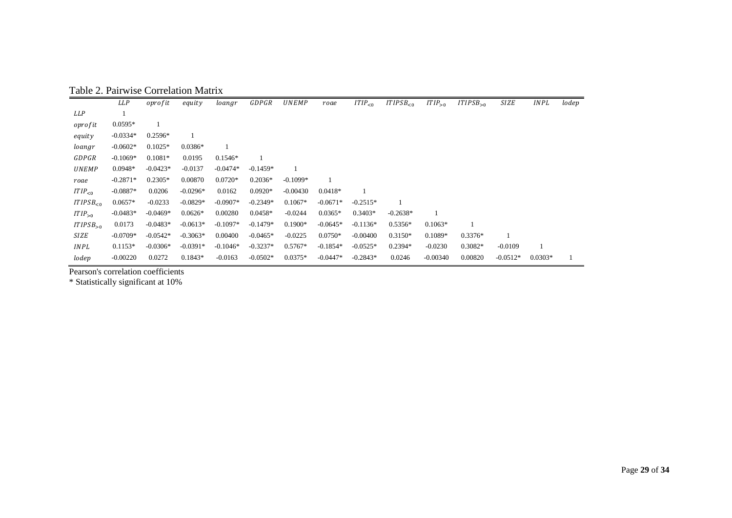Table 2. Pairwise Correlation Matrix

|                         | LLP        | oprofit    | equity     | loangr     | GDPGR      | <b>UNEMP</b> | roae       | ITIP <sub>0</sub> | ITIPSB <sub>0</sub> | $ITIP_{>0}$ | ITIPSB <sub>0</sub> | <b>SIZE</b> | <b>INPL</b> | lodep |
|-------------------------|------------|------------|------------|------------|------------|--------------|------------|-------------------|---------------------|-------------|---------------------|-------------|-------------|-------|
| <b>LLP</b>              |            |            |            |            |            |              |            |                   |                     |             |                     |             |             |       |
| oprofit                 | $0.0595*$  |            |            |            |            |              |            |                   |                     |             |                     |             |             |       |
| equity                  | $-0.0334*$ | $0.2596*$  |            |            |            |              |            |                   |                     |             |                     |             |             |       |
| loangr                  | $-0.0602*$ | $0.1025*$  | $0.0386*$  |            |            |              |            |                   |                     |             |                     |             |             |       |
| GDPGR                   | $-0.1069*$ | $0.1081*$  | 0.0195     | $0.1546*$  |            |              |            |                   |                     |             |                     |             |             |       |
| <b>UNEMP</b>            | $0.0948*$  | $-0.0423*$ | $-0.0137$  | $-0.0474*$ | $-0.1459*$ |              |            |                   |                     |             |                     |             |             |       |
| roae                    | $-0.2871*$ | $0.2305*$  | 0.00870    | $0.0720*$  | $0.2036*$  | $-0.1099*$   |            |                   |                     |             |                     |             |             |       |
| ITIP <sub>0</sub>       | $-0.0887*$ | 0.0206     | $-0.0296*$ | 0.0162     | $0.0920*$  | $-0.00430$   | $0.0418*$  |                   |                     |             |                     |             |             |       |
| ITIPSB <sub>&lt;0</sub> | $0.0657*$  | $-0.0233$  | $-0.0829*$ | $-0.0907*$ | $-0.2349*$ | $0.1067*$    | $-0.0671*$ | $-0.2515*$        |                     |             |                     |             |             |       |
| $ITIP_{>0}$             | $-0.0483*$ | $-0.0469*$ | $0.0626*$  | 0.00280    | $0.0458*$  | $-0.0244$    | $0.0365*$  | $0.3403*$         | $-0.2638*$          |             |                     |             |             |       |
| $ITIPSB_{>0}$           | 0.0173     | $-0.0483*$ | $-0.0613*$ | $-0.1097*$ | $-0.1479*$ | $0.1900*$    | $-0.0645*$ | $-0.1136*$        | $0.5356*$           | $0.1063*$   |                     |             |             |       |
| SIZE                    | $-0.0709*$ | $-0.0542*$ | $-0.3063*$ | 0.00400    | $-0.0465*$ | $-0.0225$    | $0.0750*$  | $-0.00400$        | $0.3150*$           | 0.1089*     | $0.3376*$           |             |             |       |
| <b>INPL</b>             | $0.1153*$  | $-0.0306*$ | $-0.0391*$ | $-0.1046*$ | $-0.3237*$ | $0.5767*$    | $-0.1854*$ | $-0.0525*$        | $0.2394*$           | $-0.0230$   | $0.3082*$           | $-0.0109$   |             |       |
| lodep                   | $-0.00220$ | 0.0272     | $0.1843*$  | $-0.0163$  | $-0.0502*$ | $0.0375*$    | $-0.0447*$ | $-0.2843*$        | 0.0246              | $-0.00340$  | 0.00820             | $-0.0512*$  | $0.0303*$   |       |

Pearson's correlation coefficients

\* Statistically significant at 10%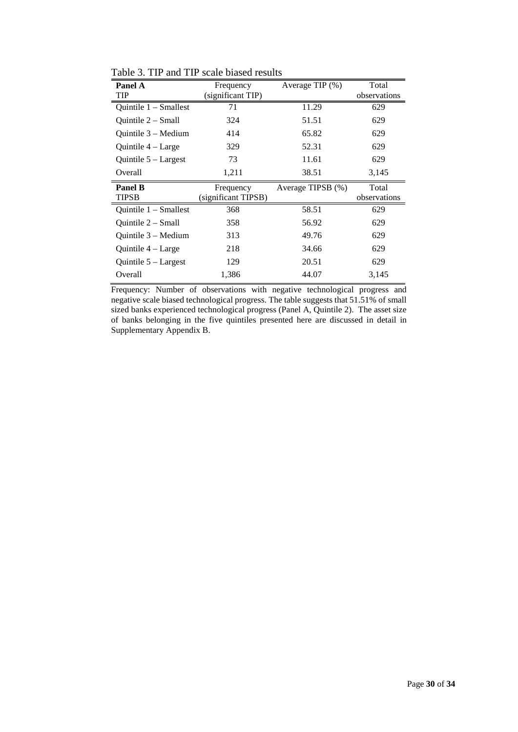| Panel A                      | Frequency                        | Average TIP $(\% )$ | Total                 |  |
|------------------------------|----------------------------------|---------------------|-----------------------|--|
| TIP                          | (significant TIP)                |                     | observations          |  |
| Quintile $1 -$ Smallest      | 71                               | 11.29               | 629                   |  |
| Ouintile 2 – Small           | 324                              | 51.51               | 629                   |  |
| Quintile $3 -$ Medium        | 414                              | 65.82               | 629                   |  |
| Quintile $4 - \text{Large}$  | 329                              | 52.31               | 629                   |  |
| Quintile $5 -$ Largest       | 73                               | 11.61               | 629                   |  |
| Overall                      | 1,211                            | 38.51               | 3,145                 |  |
|                              |                                  |                     |                       |  |
| <b>Panel B</b><br>TIPSB      | Frequency<br>(significant TIPSB) | Average TIPSB (%)   | Total<br>observations |  |
| Ouintile $1 -$ Smallest      | 368                              | 58.51               | 629                   |  |
| Quintile 2 – Small           | 358                              | 56.92               | 629                   |  |
| Quintile $3 - \text{Median}$ | 313                              | 49.76               | 629                   |  |
| Quintile $4 - \text{Large}$  | 218                              | 34.66               | 629                   |  |
| Quintile $5 -$ Largest       | 129                              | 20.51               | 629                   |  |

Table 3. TIP and TIP scale biased results

Frequency: Number of observations with negative technological progress and negative scale biased technological progress. The table suggests that 51.51% of small sized banks experienced technological progress (Panel A, Quintile 2). The asset size of banks belonging in the five quintiles presented here are discussed in detail in Supplementary Appendix B.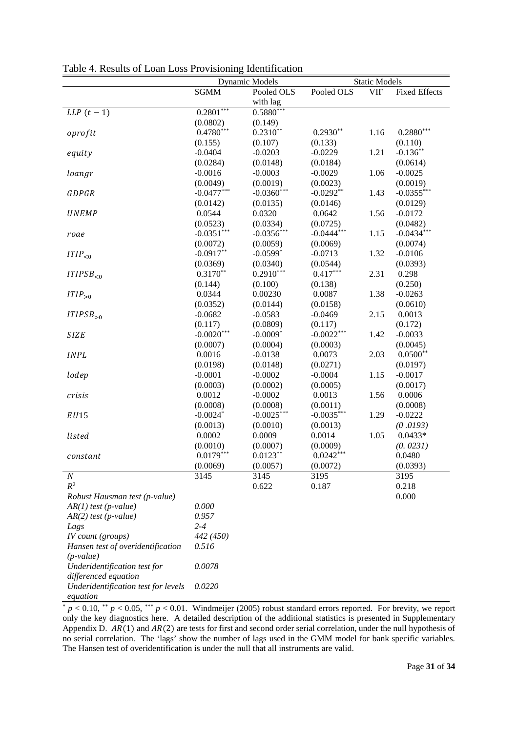|                                     | <b>Dynamic Models</b>     |              |              | <b>Static Models</b> |                      |
|-------------------------------------|---------------------------|--------------|--------------|----------------------|----------------------|
|                                     | <b>SGMM</b>               | Pooled OLS   | Pooled OLS   | <b>VIF</b>           | <b>Fixed Effects</b> |
|                                     |                           | with lag     |              |                      |                      |
| $LLP(t-1)$                          | $0.28\overline{01^{***}}$ | $0.5880***$  |              |                      |                      |
|                                     | (0.0802)                  | (0.149)      |              |                      |                      |
| oprofit                             | $0.4780***$               | $0.2310**$   | $0.2930**$   | 1.16                 | $0.2880***$          |
|                                     | (0.155)                   | (0.107)      | (0.133)      |                      | (0.110)              |
| equity                              | $-0.0404$                 | $-0.0203$    | $-0.0229$    | 1.21                 | $-0.136**$           |
|                                     | (0.0284)                  | (0.0148)     | (0.0184)     |                      | (0.0614)             |
| loangr                              | $-0.0016$                 | $-0.0003$    | $-0.0029$    | 1.06                 | $-0.0025$            |
|                                     | (0.0049)                  | (0.0019)     | (0.0023)     |                      | (0.0019)             |
| GDPGR                               | $-0.0477***$              | $-0.0360***$ | $-0.0292**$  | 1.43                 | $-0.0355***$         |
|                                     | (0.0142)                  | (0.0135)     | (0.0146)     |                      | (0.0129)             |
| <b>UNEMP</b>                        | 0.0544                    | 0.0320       | 0.0642       | 1.56                 | $-0.0172$            |
|                                     | (0.0523)                  | (0.0334)     | (0.0725)     |                      | (0.0482)             |
| roae                                | $-0.0351***$              | $-0.0356***$ | $-0.0444***$ | 1.15                 | $-0.0434***$         |
|                                     | (0.0072)                  | (0.0059)     | (0.0069)     |                      | (0.0074)             |
| ITIP <sub>0</sub>                   | $-0.0917**$               | $-0.0599*$   | $-0.0713$    | 1.32                 | $-0.0106$            |
|                                     | (0.0369)                  | (0.0340)     | (0.0544)     |                      | (0.0393)             |
| ITIPSB <sub>0</sub>                 | $0.3170**$                | $0.2910***$  | $0.417***$   | 2.31                 | 0.298                |
|                                     | (0.144)                   | (0.100)      | (0.138)      |                      | (0.250)              |
| $ITIP_{>0}$                         | 0.0344                    | 0.00230      | 0.0087       | 1.38                 | $-0.0263$            |
|                                     | (0.0352)                  | (0.0144)     | (0.0158)     |                      | (0.0610)             |
| $ITIPSB_{>0}$                       | $-0.0682$                 | $-0.0583$    | $-0.0469$    | 2.15                 | 0.0013               |
|                                     | (0.117)                   | (0.0809)     | (0.117)      |                      | (0.172)              |
| <b>SIZE</b>                         | $-0.0020***$              | $-0.0009*$   | $-0.0022***$ | 1.42                 | $-0.0033$            |
|                                     | (0.0007)                  | (0.0004)     | (0.0003)     |                      | (0.0045)             |
| <b>INPL</b>                         | 0.0016                    | $-0.0138$    | 0.0073       | 2.03                 | $0.0500**$           |
|                                     | (0.0198)                  | (0.0148)     | (0.0271)     |                      | (0.0197)             |
| lodep                               | $-0.0001$                 | $-0.0002$    | $-0.0004$    | 1.15                 | $-0.0017$            |
|                                     | (0.0003)                  | (0.0002)     | (0.0005)     |                      | (0.0017)             |
| crisis                              | 0.0012                    | $-0.0002$    | 0.0013       | 1.56                 | 0.0006               |
|                                     | (0.0008)                  | (0.0008)     | (0.0011)     |                      | (0.0008)             |
| EU15                                | $-0.0024*$                | $-0.0025***$ | $-0.0035***$ | 1.29                 | $-0.0222$            |
|                                     | (0.0013)                  | (0.0010)     | (0.0013)     |                      | (0.0193)             |
| listed                              | 0.0002                    | 0.0009       | 0.0014       | 1.05                 | $0.0433*$            |
|                                     | (0.0010)                  | (0.0007)     | (0.0009)     |                      | (0.0231)             |
| constant                            | $0.0179***$               | $0.0123**$   | $0.0242***$  |                      | 0.0480               |
|                                     | (0.0069)                  | (0.0057)     | (0.0072)     |                      | (0.0393)             |
| $\boldsymbol{N}$                    | 3145                      | 3145         | 3195         |                      | 3195                 |
| $R^2$                               |                           | 0.622        | 0.187        |                      | 0.218                |
| Robust Hausman test (p-value)       |                           |              |              |                      | 0.000                |
| $AR(1)$ test (p-value)              | 0.000                     |              |              |                      |                      |
| $AR(2)$ test (p-value)              | 0.957                     |              |              |                      |                      |
| Lags                                | $2 - 4$                   |              |              |                      |                      |
| IV count (groups)                   | 442 (450)                 |              |              |                      |                      |
| Hansen test of overidentification   | 0.516                     |              |              |                      |                      |
| $(p-value)$                         |                           |              |              |                      |                      |
| Underidentification test for        | 0.0078                    |              |              |                      |                      |
| differenced equation                |                           |              |              |                      |                      |
| Underidentification test for levels | 0.0220                    |              |              |                      |                      |
| equation                            |                           |              |              |                      |                      |

Table 4. Results of Loan Loss Provisioning Identification

 $p < 0.10$ ,  $^{**}$   $p < 0.05$ ,  $^{***}$   $p < 0.01$ . Windmeijer (2005) robust standard errors reported. For brevity, we report only the key diagnostics here. A detailed description of the additional statistics is presented in Supplementary Appendix D.  $AR(1)$  and  $AR(2)$  are tests for first and second order serial correlation, under the null hypothesis of no serial correlation. The 'lags' show the number of lags used in the GMM model for bank specific variables. The Hansen test of overidentification is under the null that all instruments are valid.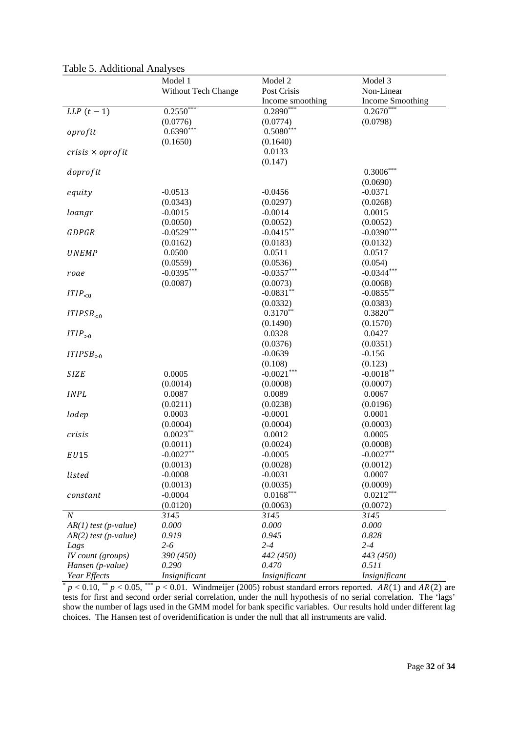|                         | Model 1                   | Model 2          | Model 3          |
|-------------------------|---------------------------|------------------|------------------|
|                         | Without Tech Change       | Post Crisis      | Non-Linear       |
|                         |                           | Income smoothing | Income Smoothing |
| $LLP(t-1)$              | $0.25\overline{50}^{***}$ | $0.2890***$      | $0.2670***$      |
|                         | (0.0776)                  | (0.0774)         | (0.0798)         |
| oprofit                 | $0.6390***$               | $0.5080***$      |                  |
|                         | (0.1650)                  | (0.1640)         |                  |
| $crisis \times oprofit$ |                           | 0.0133           |                  |
|                         |                           | (0.147)          |                  |
| doprofit                |                           |                  | $0.3006***$      |
|                         |                           |                  | (0.0690)         |
| equity                  | $-0.0513$                 | $-0.0456$        | $-0.0371$        |
|                         | (0.0343)                  | (0.0297)         | (0.0268)         |
| loangr                  | $-0.0015$                 | $-0.0014$        | 0.0015           |
|                         | (0.0050)                  | (0.0052)         | (0.0052)         |
| <b>GDPGR</b>            | $-0.0529***$              | $-0.0415**$      | $-0.0390***$     |
|                         | (0.0162)                  | (0.0183)         | (0.0132)         |
| <b>UNEMP</b>            | 0.0500                    | 0.0511           | 0.0517           |
|                         | (0.0559)                  | (0.0536)         | (0.054)          |
| roae                    | $-0.0395***$              | $-0.0357***$     | $-0.0344***$     |
|                         | (0.0087)                  | (0.0073)         | (0.0068)         |
| ITIP <sub>0</sub>       |                           | $-0.0831**$      | $-0.0855***$     |
|                         |                           | (0.0332)         | (0.0383)         |
| ITIPSB <sub>0</sub>     |                           | $0.3170**$       | $0.3820**$       |
|                         |                           | (0.1490)         | (0.1570)         |
| $ITIP_{>0}$             |                           | 0.0328           | 0.0427           |
|                         |                           | (0.0376)         | (0.0351)         |
| $ITIPSB_{>0}$           |                           | $-0.0639$        | $-0.156$         |
|                         |                           | (0.108)          | (0.123)          |
| <b>SIZE</b>             | 0.0005                    | $-0.0021***$     | $-0.0018**$      |
|                         | (0.0014)                  | (0.0008)         | (0.0007)         |
| <b>INPL</b>             | 0.0087                    | 0.0089           | 0.0067           |
|                         | (0.0211)                  | (0.0238)         | (0.0196)         |
| lodep                   | 0.0003                    | $-0.0001$        | 0.0001           |
|                         | (0.0004)                  | (0.0004)         | (0.0003)         |
| crisis                  | $0.0023***$               | 0.0012           | 0.0005           |
|                         | (0.0011)                  | (0.0024)         | (0.0008)         |
| EU15                    | $-0.0027**$               | $-0.0005$        | $-0.0027**$      |
|                         | (0.0013)                  | (0.0028)         | (0.0012)         |
| listed                  | $-0.0008$                 | $-0.0031$        | 0.0007           |
|                         | (0.0013)                  | (0.0035)         | (0.0009)         |
| constant                | $-0.0004$                 | $0.0168***$      | $0.0212***$      |
|                         | (0.0120)                  | (0.0063)         | (0.0072)         |
| $\boldsymbol{N}$        | 3145                      | 3145             | 3145             |
| $AR(1)$ test (p-value)  | 0.000                     | 0.000            | 0.000            |
| $AR(2)$ test (p-value)  | 0.919                     | 0.945            | 0.828            |
| Lags                    | $2 - 6$                   | $2 - 4$          | $2 - 4$          |
| $IV$ count (groups)     | 390 (450)                 | 442 (450)        | 443 (450)        |
| Hansen (p-value)        | 0.290                     | 0.470            | 0.511            |
| Year Effects            | Insignificant             | Insignificant    | Insignificant    |

Table 5. Additional Analyses

 $* p < 0.10, ** p < 0.05, ** p < 0.01$ . Windmeijer (2005) robust standard errors reported. AR(1) and AR(2) are tests for first and second order serial correlation, under the null hypothesis of no serial correlation. The 'lags' show the number of lags used in the GMM model for bank specific variables. Our results hold under different lag choices. The Hansen test of overidentification is under the null that all instruments are valid.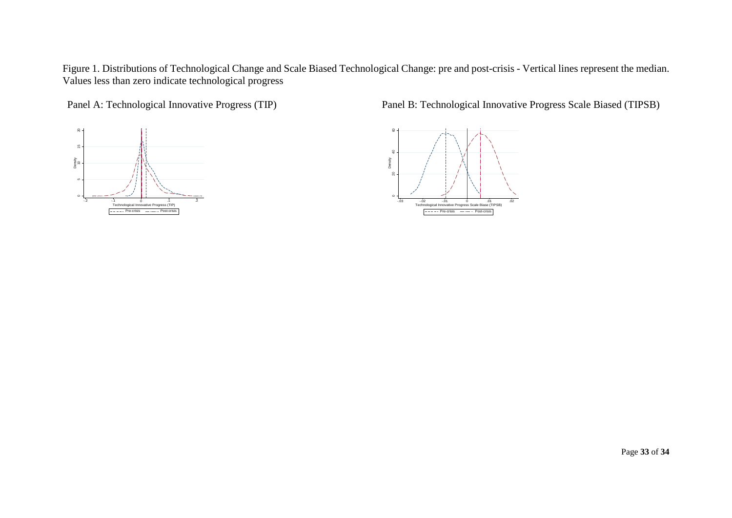Figure 1. Distributions of Technological Change and Scale Biased Technological Change: pre and post-crisis - Vertical lines represent the median. Values less than zero indicate technological progress



Panel A: Technological Innovative Progress (TIP) Panel B: Technological Innovative Progress Scale Biased (TIPSB)